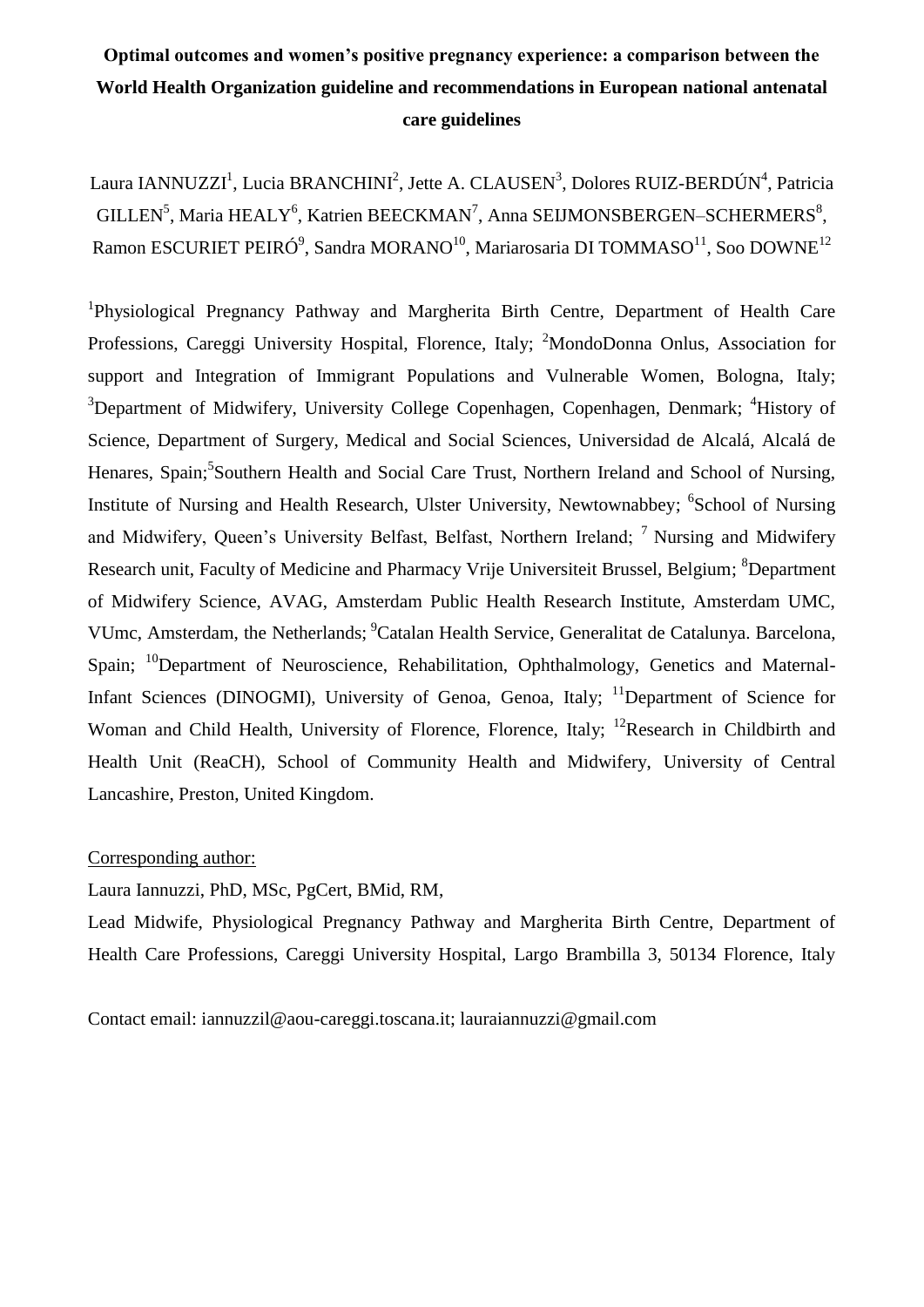# **Optimal outcomes and women's positive pregnancy experience: a comparison between the World Health Organization guideline and recommendations in European national antenatal care guidelines**

Laura IANNUZZI<sup>1</sup>, Lucia BRANCHINI<sup>2</sup>, Jette A. CLAUSEN<sup>3</sup>, Dolores RUIZ-BERDÚN<sup>4</sup>, Patricia GILLEN<sup>5</sup>, Maria HEALY<sup>6</sup>, Katrien BEECKMAN<sup>7</sup>, Anna SEIJMONSBERGEN-SCHERMERS<sup>8</sup>, Ramon ESCURIET PEIRÓ $^9$ , Sandra MORANO $^{10}$ , Mariarosaria DI TOMMASO $^{11}$ , Soo DOWNE $^{12}$ 

<sup>1</sup>Physiological Pregnancy Pathway and Margherita Birth Centre, Department of Health Care Professions, Careggi University Hospital, Florence, Italy; <sup>2</sup>MondoDonna Onlus, Association for support and Integration of Immigrant Populations and Vulnerable Women, Bologna, Italy; <sup>3</sup>Department of Midwifery, University College Copenhagen, Copenhagen, Denmark; <sup>4</sup>History of Science, Department of Surgery, Medical and Social Sciences, Universidad de Alcalá, Alcalá de Henares, Spain;<sup>5</sup>Southern Health and Social Care Trust, Northern Ireland and School of Nursing, Institute of Nursing and Health Research, Ulster University, Newtownabbey; <sup>6</sup>School of Nursing and Midwifery, Queen's University Belfast, Belfast, Northern Ireland;  $^7$  Nursing and Midwifery Research unit, Faculty of Medicine and Pharmacy Vrije Universiteit Brussel, Belgium; <sup>8</sup>Department of Midwifery Science, AVAG, Amsterdam Public Health Research Institute, Amsterdam UMC, VUmc, Amsterdam, the Netherlands; <sup>9</sup>Catalan Health Service, Generalitat de Catalunya. Barcelona, Spain; <sup>10</sup>Department of Neuroscience, Rehabilitation, Ophthalmology, Genetics and Maternal-Infant Sciences (DINOGMI), University of Genoa, Genoa, Italy; <sup>11</sup>Department of Science for Woman and Child Health, University of Florence, Florence, Italy; <sup>12</sup>Research in Childbirth and Health Unit (ReaCH), School of Community Health and Midwifery, University of Central Lancashire, Preston, United Kingdom.

## Corresponding author:

Laura Iannuzzi, PhD, MSc, PgCert, BMid, RM,

Lead Midwife, Physiological Pregnancy Pathway and Margherita Birth Centre, Department of Health Care Professions, Careggi University Hospital, Largo Brambilla 3, 50134 Florence, Italy

Contact email: iannuzzil@aou-careggi.toscana.it; lauraiannuzzi@gmail.com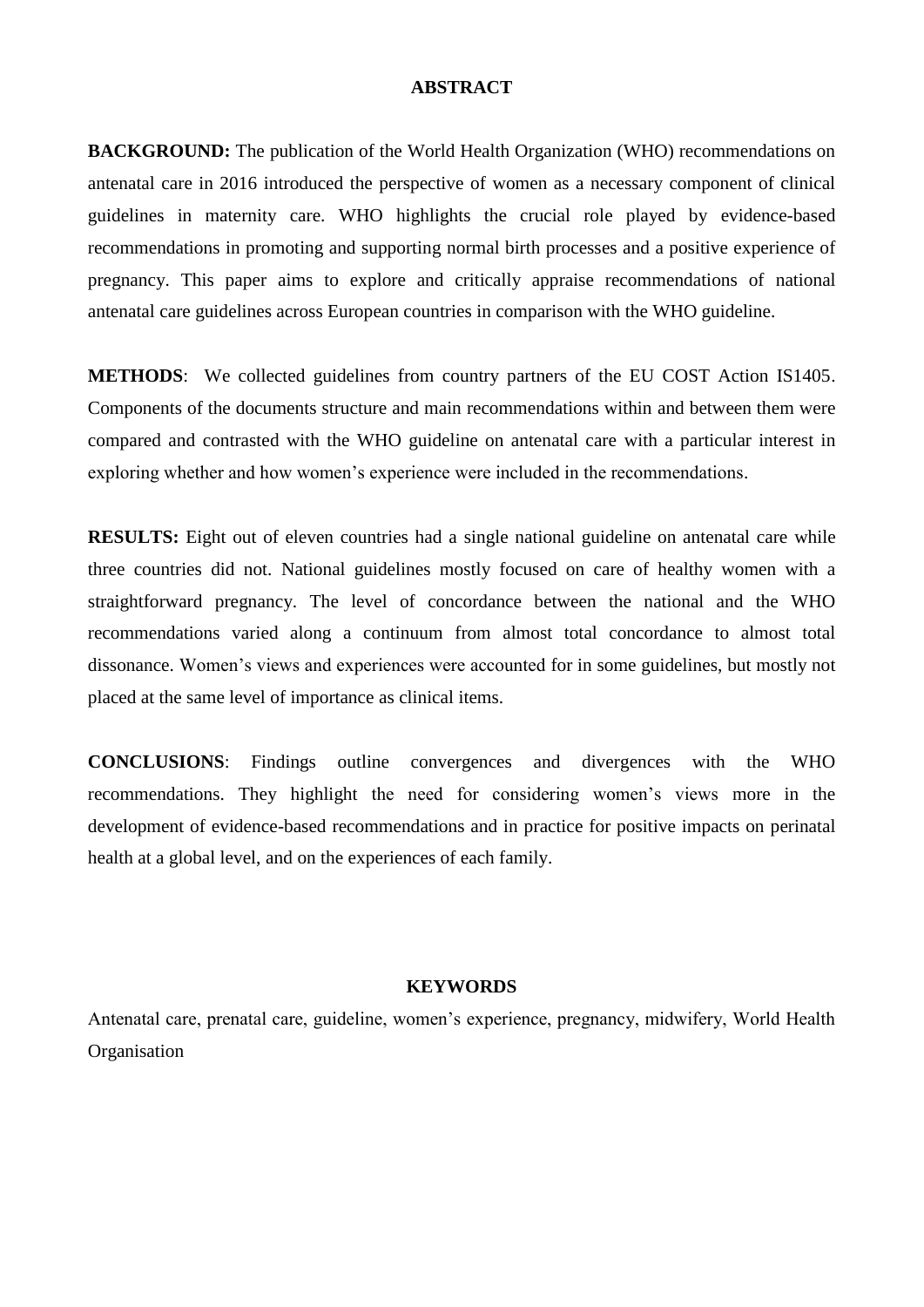#### **ABSTRACT**

**BACKGROUND:** The publication of the World Health Organization (WHO) recommendations on antenatal care in 2016 introduced the perspective of women as a necessary component of clinical guidelines in maternity care. WHO highlights the crucial role played by evidence-based recommendations in promoting and supporting normal birth processes and a positive experience of pregnancy. This paper aims to explore and critically appraise recommendations of national antenatal care guidelines across European countries in comparison with the WHO guideline.

**METHODS**: We collected guidelines from country partners of the EU COST Action IS1405. Components of the documents structure and main recommendations within and between them were compared and contrasted with the WHO guideline on antenatal care with a particular interest in exploring whether and how women's experience were included in the recommendations.

**RESULTS:** Eight out of eleven countries had a single national guideline on antenatal care while three countries did not. National guidelines mostly focused on care of healthy women with a straightforward pregnancy. The level of concordance between the national and the WHO recommendations varied along a continuum from almost total concordance to almost total dissonance. Women's views and experiences were accounted for in some guidelines, but mostly not placed at the same level of importance as clinical items.

**CONCLUSIONS**: Findings outline convergences and divergences with the WHO recommendations. They highlight the need for considering women's views more in the development of evidence-based recommendations and in practice for positive impacts on perinatal health at a global level, and on the experiences of each family.

## **KEYWORDS**

Antenatal care, prenatal care, guideline, women's experience, pregnancy, midwifery, World Health **Organisation**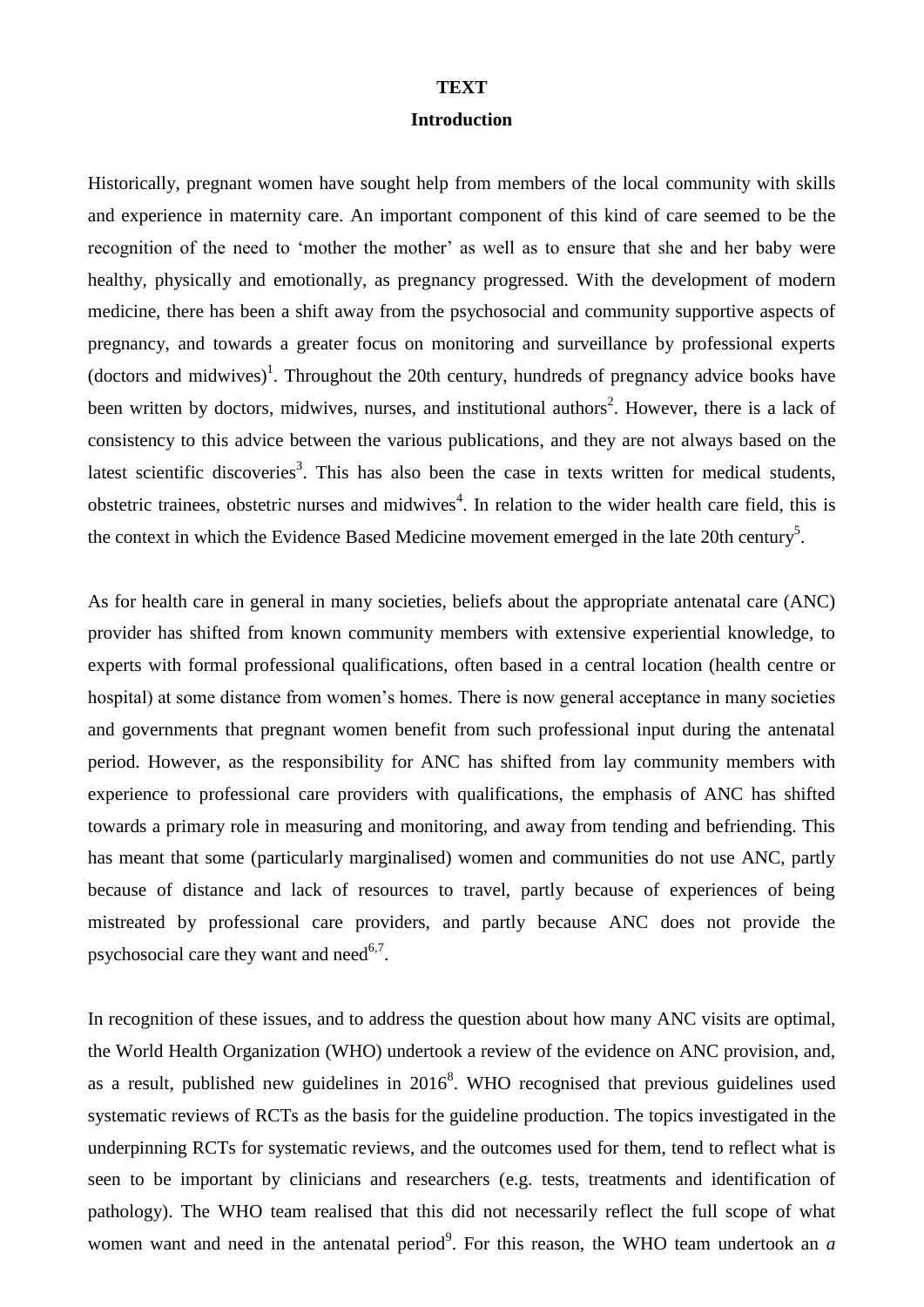#### **TEXT**

### **Introduction**

Historically, pregnant women have sought help from members of the local community with skills and experience in maternity care. An important component of this kind of care seemed to be the recognition of the need to 'mother the mother' as well as to ensure that she and her baby were healthy, physically and emotionally, as pregnancy progressed. With the development of modern medicine, there has been a shift away from the psychosocial and community supportive aspects of pregnancy, and towards a greater focus on monitoring and surveillance by professional experts (doctors and midwives)<sup>1</sup>. Throughout the 20th century, hundreds of pregnancy advice books have been written by doctors, midwives, nurses, and institutional authors<sup>2</sup>. However, there is a lack of consistency to this advice between the various publications, and they are not always based on the latest scientific discoveries<sup>3</sup>. This has also been the case in texts written for medical students, obstetric trainees, obstetric nurses and midwives<sup>4</sup>. In relation to the wider health care field, this is the context in which the Evidence Based Medicine movement emerged in the late 20th century<sup>5</sup>.

As for health care in general in many societies, beliefs about the appropriate antenatal care (ANC) provider has shifted from known community members with extensive experiential knowledge, to experts with formal professional qualifications, often based in a central location (health centre or hospital) at some distance from women's homes. There is now general acceptance in many societies and governments that pregnant women benefit from such professional input during the antenatal period. However, as the responsibility for ANC has shifted from lay community members with experience to professional care providers with qualifications, the emphasis of ANC has shifted towards a primary role in measuring and monitoring, and away from tending and befriending. This has meant that some (particularly marginalised) women and communities do not use ANC, partly because of distance and lack of resources to travel, partly because of experiences of being mistreated by professional care providers, and partly because ANC does not provide the psychosocial care they want and need $6,7$ .

In recognition of these issues, and to address the question about how many ANC visits are optimal, the World Health Organization (WHO) undertook a review of the evidence on ANC provision, and, as a result, published new guidelines in  $2016<sup>8</sup>$ . WHO recognised that previous guidelines used systematic reviews of RCTs as the basis for the guideline production. The topics investigated in the underpinning RCTs for systematic reviews, and the outcomes used for them, tend to reflect what is seen to be important by clinicians and researchers (e.g. tests, treatments and identification of pathology). The WHO team realised that this did not necessarily reflect the full scope of what women want and need in the antenatal period<sup>9</sup>. For this reason, the WHO team undertook an  $a$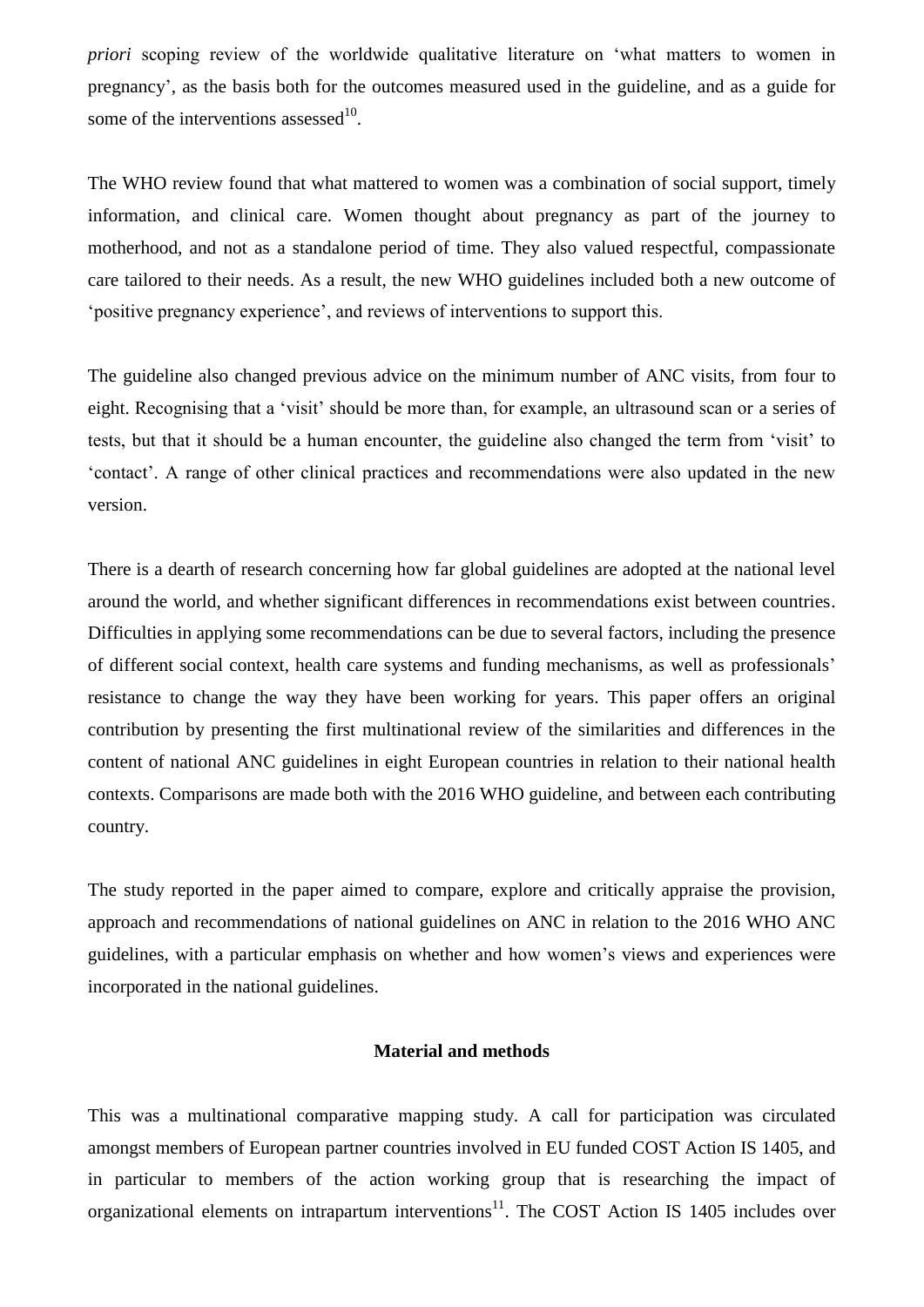*priori* scoping review of the worldwide qualitative literature on 'what matters to women in pregnancy', as the basis both for the outcomes measured used in the guideline, and as a guide for some of the interventions assessed $10$ .

The WHO review found that what mattered to women was a combination of social support, timely information, and clinical care. Women thought about pregnancy as part of the journey to motherhood, and not as a standalone period of time. They also valued respectful, compassionate care tailored to their needs. As a result, the new WHO guidelines included both a new outcome of 'positive pregnancy experience', and reviews of interventions to support this.

The guideline also changed previous advice on the minimum number of ANC visits, from four to eight. Recognising that a 'visit' should be more than, for example, an ultrasound scan or a series of tests, but that it should be a human encounter, the guideline also changed the term from 'visit' to 'contact'. A range of other clinical practices and recommendations were also updated in the new version.

There is a dearth of research concerning how far global guidelines are adopted at the national level around the world, and whether significant differences in recommendations exist between countries. Difficulties in applying some recommendations can be due to several factors, including the presence of different social context, health care systems and funding mechanisms, as well as professionals' resistance to change the way they have been working for years. This paper offers an original contribution by presenting the first multinational review of the similarities and differences in the content of national ANC guidelines in eight European countries in relation to their national health contexts. Comparisons are made both with the 2016 WHO guideline, and between each contributing country.

The study reported in the paper aimed to compare, explore and critically appraise the provision, approach and recommendations of national guidelines on ANC in relation to the 2016 WHO ANC guidelines, with a particular emphasis on whether and how women's views and experiences were incorporated in the national guidelines.

## **Material and methods**

This was a multinational comparative mapping study. A call for participation was circulated amongst members of European partner countries involved in EU funded COST Action IS 1405, and in particular to members of the action working group that is researching the impact of organizational elements on intrapartum interventions $11$ . The COST Action IS 1405 includes over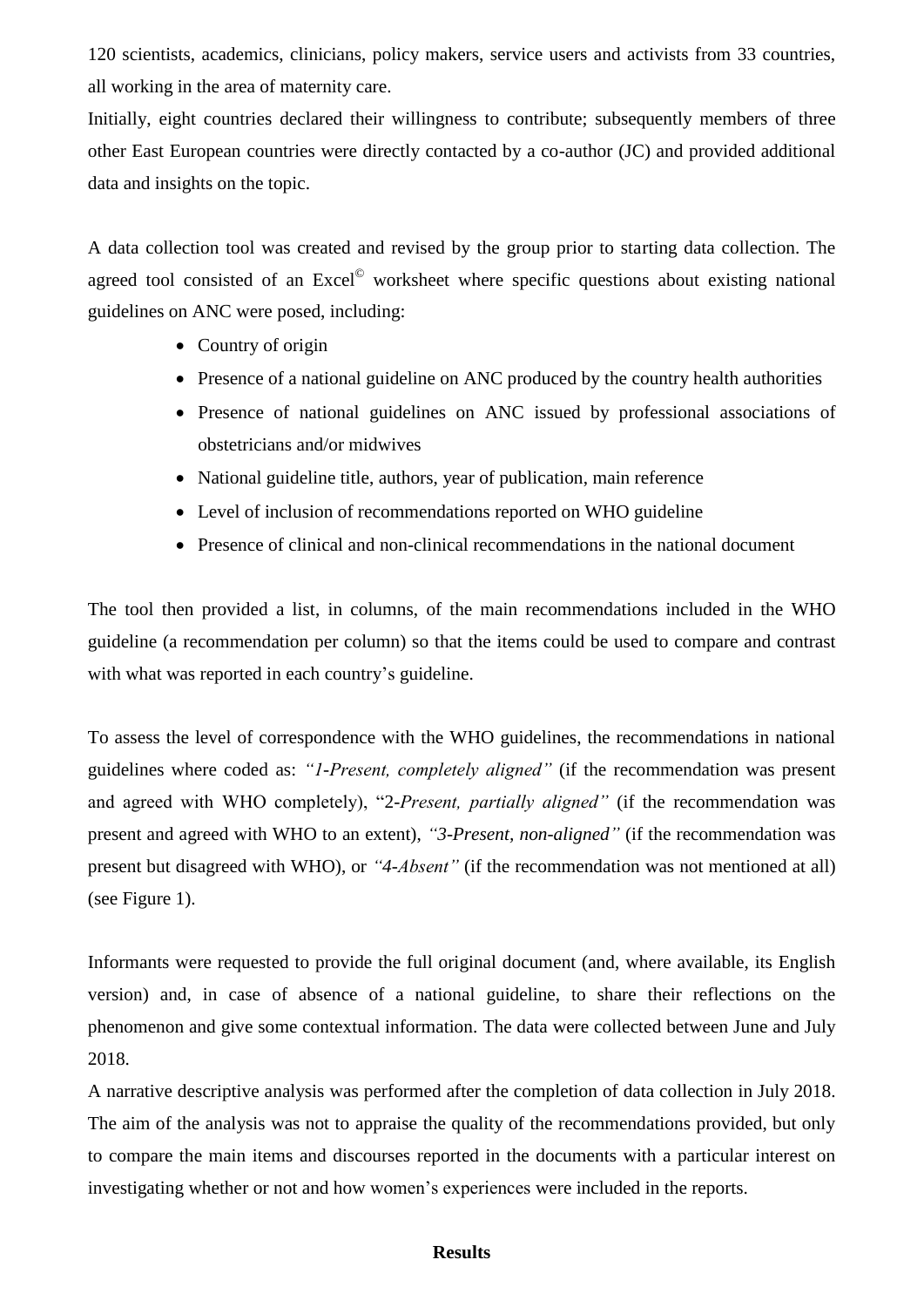120 scientists, academics, clinicians, policy makers, service users and activists from 33 countries, all working in the area of maternity care.

Initially, eight countries declared their willingness to contribute; subsequently members of three other East European countries were directly contacted by a co-author (JC) and provided additional data and insights on the topic.

A data collection tool was created and revised by the group prior to starting data collection. The agreed tool consisted of an Excel<sup>©</sup> worksheet where specific questions about existing national guidelines on ANC were posed, including:

- Country of origin
- Presence of a national guideline on ANC produced by the country health authorities
- Presence of national guidelines on ANC issued by professional associations of obstetricians and/or midwives
- National guideline title, authors, year of publication, main reference
- Level of inclusion of recommendations reported on WHO guideline
- Presence of clinical and non-clinical recommendations in the national document

The tool then provided a list, in columns, of the main recommendations included in the WHO guideline (a recommendation per column) so that the items could be used to compare and contrast with what was reported in each country's guideline.

To assess the level of correspondence with the WHO guidelines, the recommendations in national guidelines where coded as: *"1-Present, completely aligned"* (if the recommendation was present and agreed with WHO completely), "2-*Present, partially aligned"* (if the recommendation was present and agreed with WHO to an extent), *"3-Present, non-aligned"* (if the recommendation was present but disagreed with WHO), or *"4-Absent"* (if the recommendation was not mentioned at all) (see Figure 1).

Informants were requested to provide the full original document (and, where available, its English version) and, in case of absence of a national guideline, to share their reflections on the phenomenon and give some contextual information. The data were collected between June and July 2018.

A narrative descriptive analysis was performed after the completion of data collection in July 2018. The aim of the analysis was not to appraise the quality of the recommendations provided, but only to compare the main items and discourses reported in the documents with a particular interest on investigating whether or not and how women's experiences were included in the reports.

## **Results**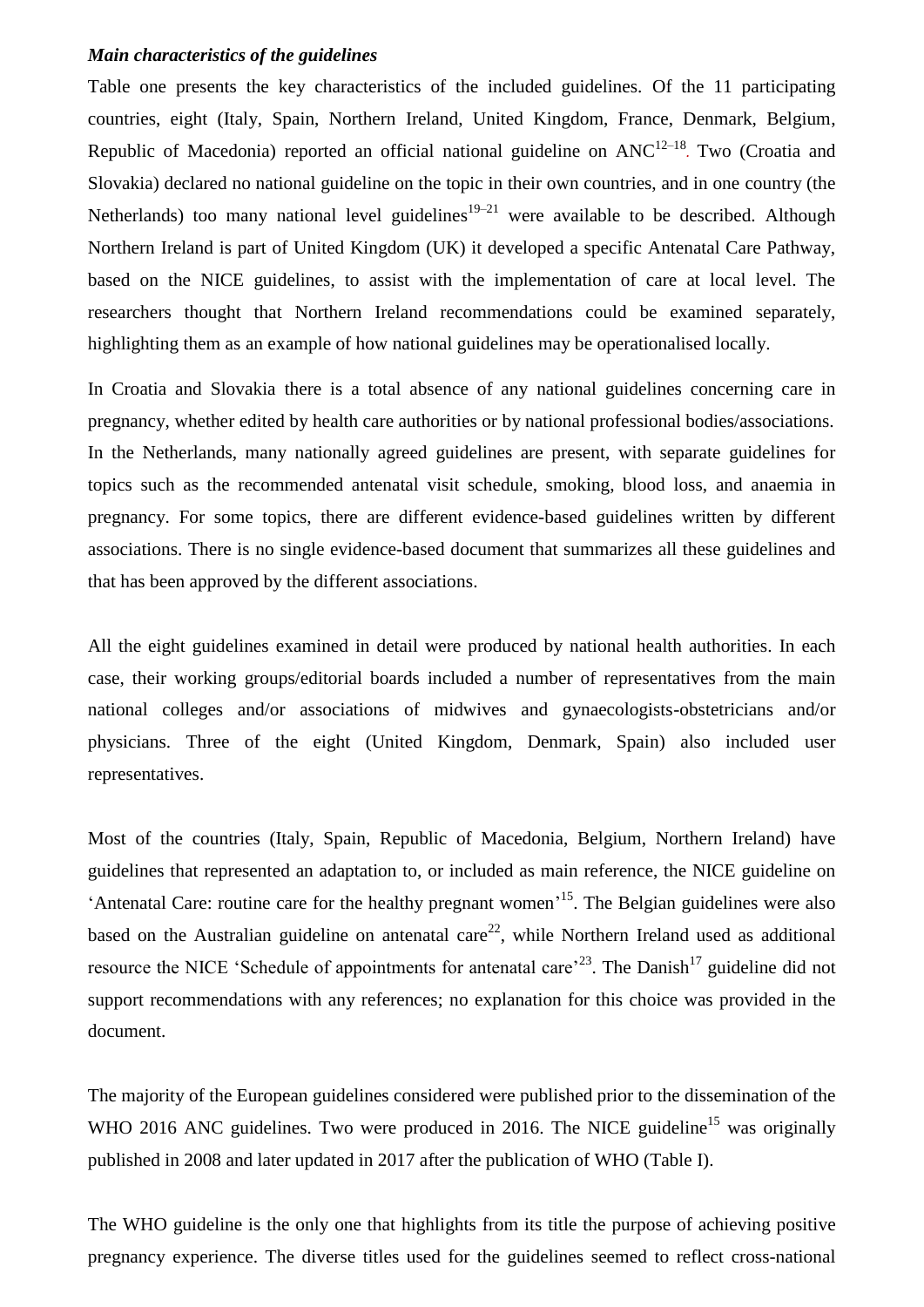#### *Main characteristics of the guidelines*

Table one presents the key characteristics of the included guidelines. Of the 11 participating countries, eight (Italy, Spain, Northern Ireland, United Kingdom, France, Denmark, Belgium, Republic of Macedonia) reported an official national guideline on ANC<sup>12–18</sup>. Two (Croatia and Slovakia) declared no national guideline on the topic in their own countries, and in one country (the Netherlands) too many national level guidelines<sup>19–21</sup> were available to be described. Although Northern Ireland is part of United Kingdom (UK) it developed a specific Antenatal Care Pathway, based on the NICE guidelines, to assist with the implementation of care at local level. The researchers thought that Northern Ireland recommendations could be examined separately, highlighting them as an example of how national guidelines may be operationalised locally.

In Croatia and Slovakia there is a total absence of any national guidelines concerning care in pregnancy, whether edited by health care authorities or by national professional bodies/associations. In the Netherlands, many nationally agreed guidelines are present, with separate guidelines for topics such as the recommended antenatal visit schedule, smoking, blood loss, and anaemia in pregnancy. For some topics, there are different evidence-based guidelines written by different associations. There is no single evidence-based document that summarizes all these guidelines and that has been approved by the different associations.

All the eight guidelines examined in detail were produced by national health authorities. In each case, their working groups/editorial boards included a number of representatives from the main national colleges and/or associations of midwives and gynaecologists-obstetricians and/or physicians. Three of the eight (United Kingdom, Denmark, Spain) also included user representatives.

Most of the countries (Italy, Spain, Republic of Macedonia, Belgium, Northern Ireland) have guidelines that represented an adaptation to, or included as main reference, the NICE guideline on 'Antenatal Care: routine care for the healthy pregnant women<sup>15</sup>. The Belgian guidelines were also based on the Australian guideline on antenatal care<sup>22</sup>, while Northern Ireland used as additional resource the NICE 'Schedule of appointments for antenatal care<sup> $23$ </sup>. The Danish<sup>17</sup> guideline did not support recommendations with any references; no explanation for this choice was provided in the document.

The majority of the European guidelines considered were published prior to the dissemination of the WHO 2016 ANC guidelines. Two were produced in 2016. The NICE guideline<sup>15</sup> was originally published in 2008 and later updated in 2017 after the publication of WHO (Table I).

The WHO guideline is the only one that highlights from its title the purpose of achieving positive pregnancy experience. The diverse titles used for the guidelines seemed to reflect cross-national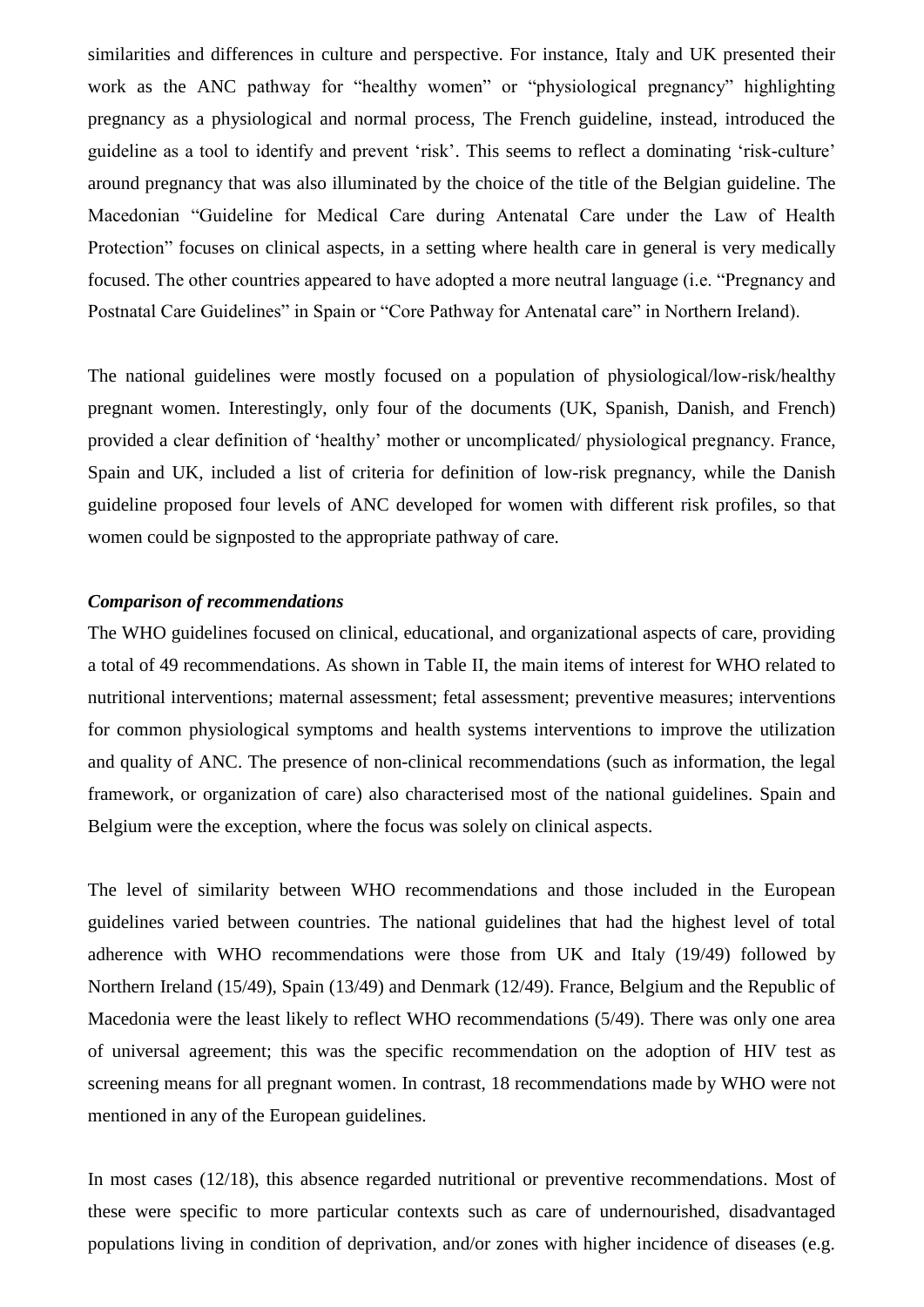similarities and differences in culture and perspective. For instance, Italy and UK presented their work as the ANC pathway for "healthy women" or "physiological pregnancy" highlighting pregnancy as a physiological and normal process, The French guideline, instead, introduced the guideline as a tool to identify and prevent 'risk'. This seems to reflect a dominating 'risk-culture' around pregnancy that was also illuminated by the choice of the title of the Belgian guideline. The Macedonian "Guideline for Medical Care during Antenatal Care under the Law of Health Protection" focuses on clinical aspects, in a setting where health care in general is very medically focused. The other countries appeared to have adopted a more neutral language (i.e. "Pregnancy and Postnatal Care Guidelines" in Spain or "Core Pathway for Antenatal care" in Northern Ireland).

The national guidelines were mostly focused on a population of physiological/low-risk/healthy pregnant women. Interestingly, only four of the documents (UK, Spanish, Danish, and French) provided a clear definition of 'healthy' mother or uncomplicated/ physiological pregnancy. France, Spain and UK, included a list of criteria for definition of low-risk pregnancy, while the Danish guideline proposed four levels of ANC developed for women with different risk profiles, so that women could be signposted to the appropriate pathway of care.

#### *Comparison of recommendations*

The WHO guidelines focused on clinical, educational, and organizational aspects of care, providing a total of 49 recommendations. As shown in Table II, the main items of interest for WHO related to nutritional interventions; maternal assessment; fetal assessment; preventive measures; interventions for common physiological symptoms and health systems interventions to improve the utilization and quality of ANC. The presence of non-clinical recommendations (such as information, the legal framework, or organization of care) also characterised most of the national guidelines. Spain and Belgium were the exception, where the focus was solely on clinical aspects.

The level of similarity between WHO recommendations and those included in the European guidelines varied between countries. The national guidelines that had the highest level of total adherence with WHO recommendations were those from UK and Italy (19/49) followed by Northern Ireland (15/49), Spain (13/49) and Denmark (12/49). France, Belgium and the Republic of Macedonia were the least likely to reflect WHO recommendations (5/49). There was only one area of universal agreement; this was the specific recommendation on the adoption of HIV test as screening means for all pregnant women. In contrast, 18 recommendations made by WHO were not mentioned in any of the European guidelines.

In most cases (12/18), this absence regarded nutritional or preventive recommendations. Most of these were specific to more particular contexts such as care of undernourished, disadvantaged populations living in condition of deprivation, and/or zones with higher incidence of diseases (e.g.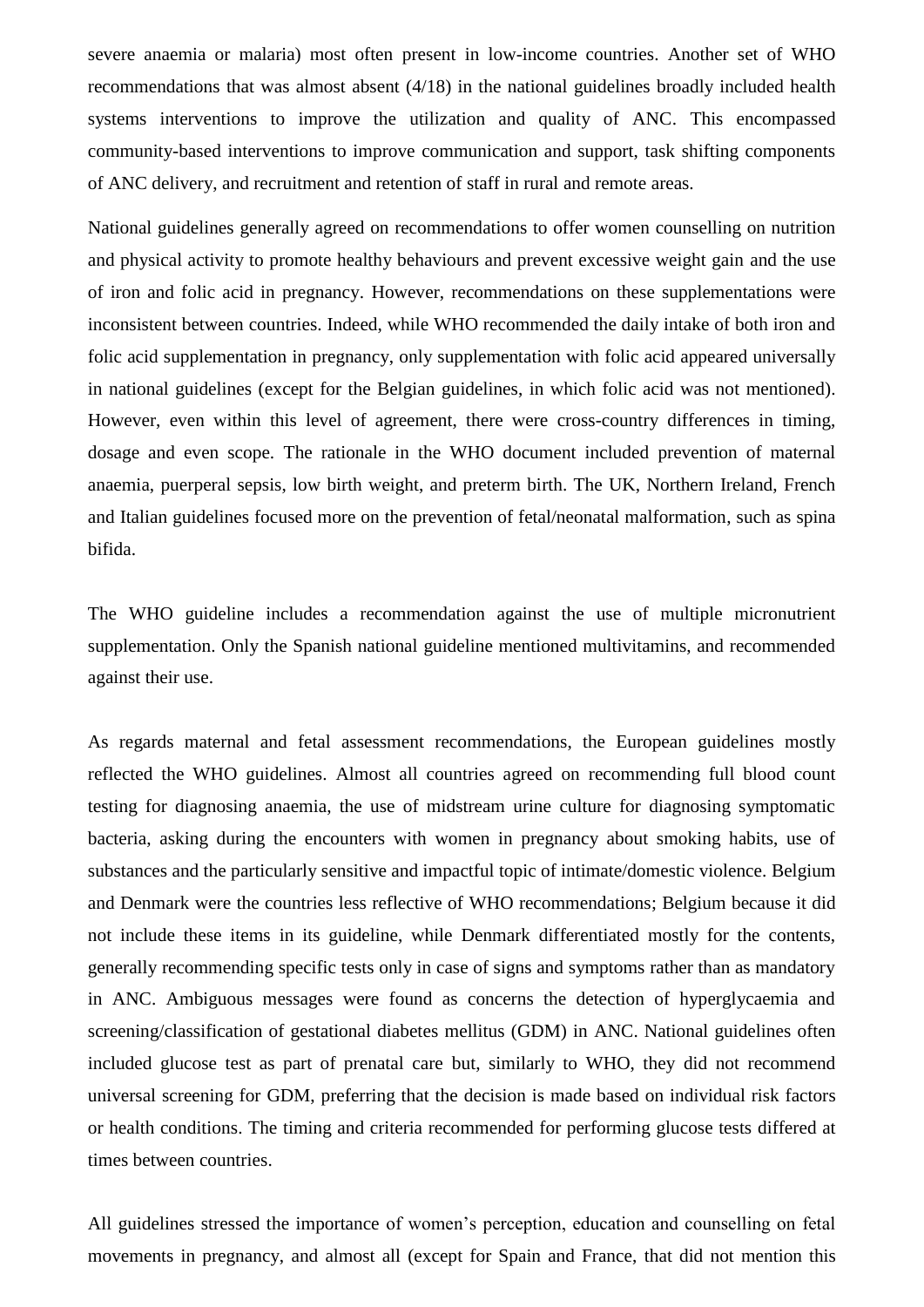severe anaemia or malaria) most often present in low-income countries. Another set of WHO recommendations that was almost absent (4/18) in the national guidelines broadly included health systems interventions to improve the utilization and quality of ANC. This encompassed community-based interventions to improve communication and support, task shifting components of ANC delivery, and recruitment and retention of staff in rural and remote areas.

National guidelines generally agreed on recommendations to offer women counselling on nutrition and physical activity to promote healthy behaviours and prevent excessive weight gain and the use of iron and folic acid in pregnancy. However, recommendations on these supplementations were inconsistent between countries. Indeed, while WHO recommended the daily intake of both iron and folic acid supplementation in pregnancy, only supplementation with folic acid appeared universally in national guidelines (except for the Belgian guidelines, in which folic acid was not mentioned). However, even within this level of agreement, there were cross-country differences in timing, dosage and even scope. The rationale in the WHO document included prevention of maternal anaemia, puerperal sepsis, low birth weight, and preterm birth. The UK, Northern Ireland, French and Italian guidelines focused more on the prevention of fetal/neonatal malformation, such as spina bifida.

The WHO guideline includes a recommendation against the use of multiple micronutrient supplementation. Only the Spanish national guideline mentioned multivitamins, and recommended against their use.

As regards maternal and fetal assessment recommendations, the European guidelines mostly reflected the WHO guidelines. Almost all countries agreed on recommending full blood count testing for diagnosing anaemia, the use of midstream urine culture for diagnosing symptomatic bacteria, asking during the encounters with women in pregnancy about smoking habits, use of substances and the particularly sensitive and impactful topic of intimate/domestic violence. Belgium and Denmark were the countries less reflective of WHO recommendations; Belgium because it did not include these items in its guideline, while Denmark differentiated mostly for the contents, generally recommending specific tests only in case of signs and symptoms rather than as mandatory in ANC. Ambiguous messages were found as concerns the detection of hyperglycaemia and screening/classification of gestational diabetes mellitus (GDM) in ANC. National guidelines often included glucose test as part of prenatal care but, similarly to WHO, they did not recommend universal screening for GDM, preferring that the decision is made based on individual risk factors or health conditions. The timing and criteria recommended for performing glucose tests differed at times between countries.

All guidelines stressed the importance of women's perception, education and counselling on fetal movements in pregnancy, and almost all (except for Spain and France, that did not mention this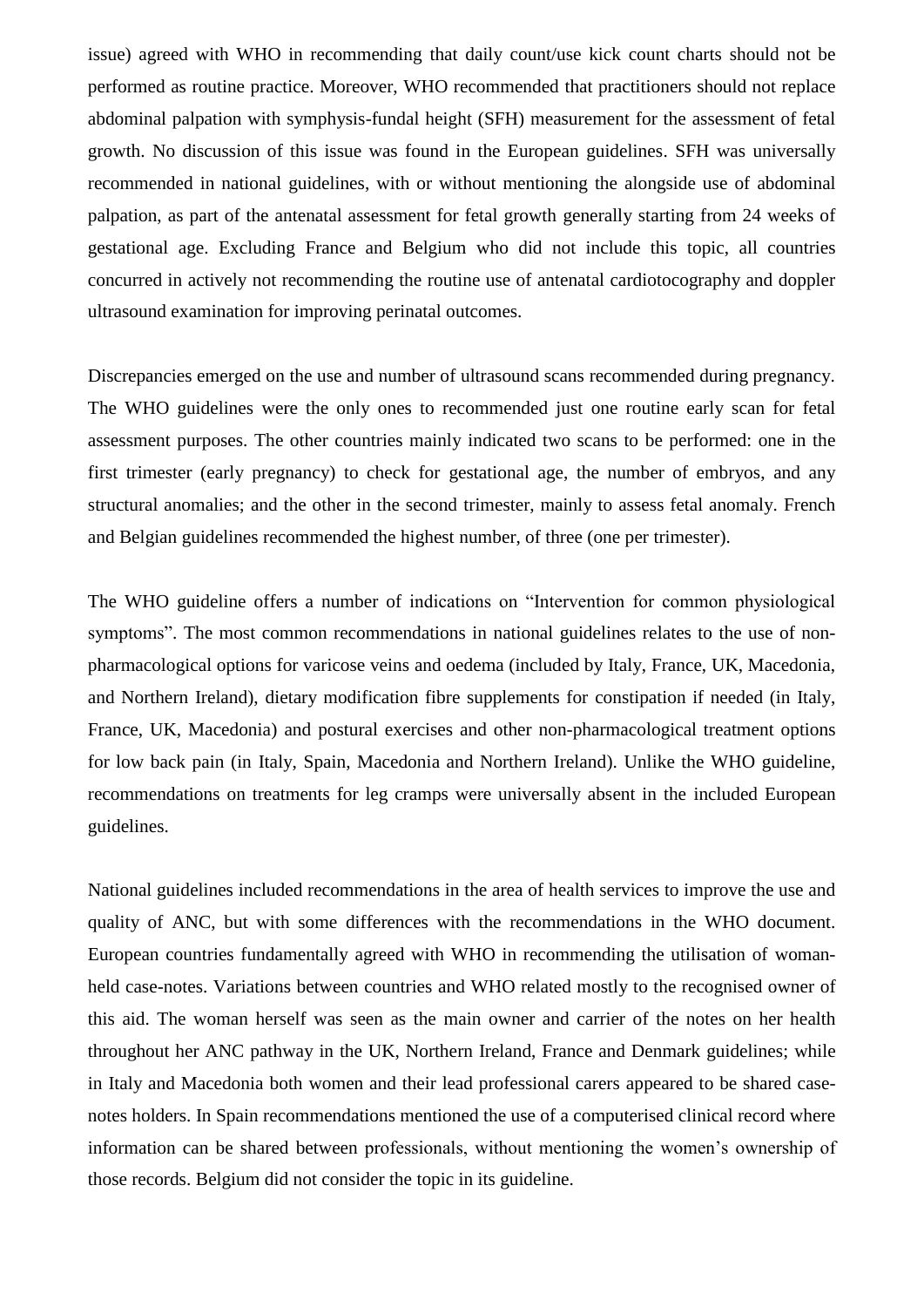issue) agreed with WHO in recommending that daily count/use kick count charts should not be performed as routine practice. Moreover, WHO recommended that practitioners should not replace abdominal palpation with symphysis-fundal height (SFH) measurement for the assessment of fetal growth. No discussion of this issue was found in the European guidelines. SFH was universally recommended in national guidelines, with or without mentioning the alongside use of abdominal palpation, as part of the antenatal assessment for fetal growth generally starting from 24 weeks of gestational age. Excluding France and Belgium who did not include this topic, all countries concurred in actively not recommending the routine use of antenatal cardiotocography and doppler ultrasound examination for improving perinatal outcomes.

Discrepancies emerged on the use and number of ultrasound scans recommended during pregnancy. The WHO guidelines were the only ones to recommended just one routine early scan for fetal assessment purposes. The other countries mainly indicated two scans to be performed: one in the first trimester (early pregnancy) to check for gestational age, the number of embryos, and any structural anomalies; and the other in the second trimester, mainly to assess fetal anomaly. French and Belgian guidelines recommended the highest number, of three (one per trimester).

The WHO guideline offers a number of indications on "Intervention for common physiological symptoms". The most common recommendations in national guidelines relates to the use of nonpharmacological options for varicose veins and oedema (included by Italy, France, UK, Macedonia, and Northern Ireland), dietary modification fibre supplements for constipation if needed (in Italy, France, UK, Macedonia) and postural exercises and other non-pharmacological treatment options for low back pain (in Italy, Spain, Macedonia and Northern Ireland). Unlike the WHO guideline, recommendations on treatments for leg cramps were universally absent in the included European guidelines.

National guidelines included recommendations in the area of health services to improve the use and quality of ANC, but with some differences with the recommendations in the WHO document. European countries fundamentally agreed with WHO in recommending the utilisation of womanheld case-notes. Variations between countries and WHO related mostly to the recognised owner of this aid. The woman herself was seen as the main owner and carrier of the notes on her health throughout her ANC pathway in the UK, Northern Ireland, France and Denmark guidelines; while in Italy and Macedonia both women and their lead professional carers appeared to be shared casenotes holders. In Spain recommendations mentioned the use of a computerised clinical record where information can be shared between professionals, without mentioning the women's ownership of those records. Belgium did not consider the topic in its guideline.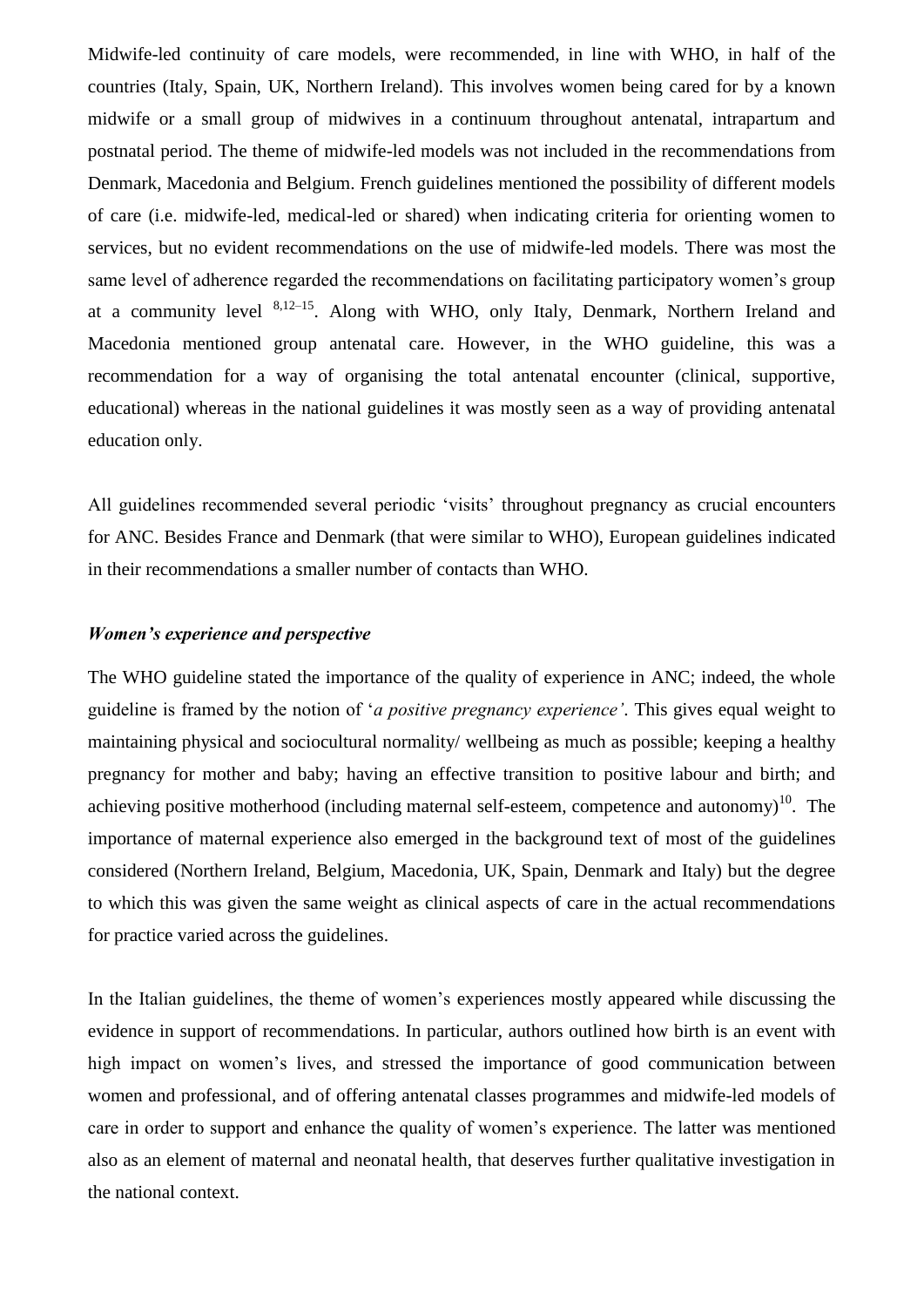Midwife-led continuity of care models, were recommended, in line with WHO, in half of the countries (Italy, Spain, UK, Northern Ireland). This involves women being cared for by a known midwife or a small group of midwives in a continuum throughout antenatal, intrapartum and postnatal period. The theme of midwife-led models was not included in the recommendations from Denmark, Macedonia and Belgium. French guidelines mentioned the possibility of different models of care (i.e. midwife-led, medical-led or shared) when indicating criteria for orienting women to services, but no evident recommendations on the use of midwife-led models. There was most the same level of adherence regarded the recommendations on facilitating participatory women's group at a community level  $8,12-15$ . Along with WHO, only Italy, Denmark, Northern Ireland and Macedonia mentioned group antenatal care. However, in the WHO guideline, this was a recommendation for a way of organising the total antenatal encounter (clinical, supportive, educational) whereas in the national guidelines it was mostly seen as a way of providing antenatal education only.

All guidelines recommended several periodic 'visits' throughout pregnancy as crucial encounters for ANC. Besides France and Denmark (that were similar to WHO), European guidelines indicated in their recommendations a smaller number of contacts than WHO.

## *Women's experience and perspective*

The WHO guideline stated the importance of the quality of experience in ANC; indeed, the whole guideline is framed by the notion of '*a positive pregnancy experience'*. This gives equal weight to maintaining physical and sociocultural normality/ wellbeing as much as possible; keeping a healthy pregnancy for mother and baby; having an effective transition to positive labour and birth; and achieving positive motherhood (including maternal self-esteem, competence and autonomy)<sup>10</sup>. The importance of maternal experience also emerged in the background text of most of the guidelines considered (Northern Ireland, Belgium, Macedonia, UK, Spain, Denmark and Italy) but the degree to which this was given the same weight as clinical aspects of care in the actual recommendations for practice varied across the guidelines.

In the Italian guidelines, the theme of women's experiences mostly appeared while discussing the evidence in support of recommendations. In particular, authors outlined how birth is an event with high impact on women's lives, and stressed the importance of good communication between women and professional, and of offering antenatal classes programmes and midwife-led models of care in order to support and enhance the quality of women's experience. The latter was mentioned also as an element of maternal and neonatal health, that deserves further qualitative investigation in the national context.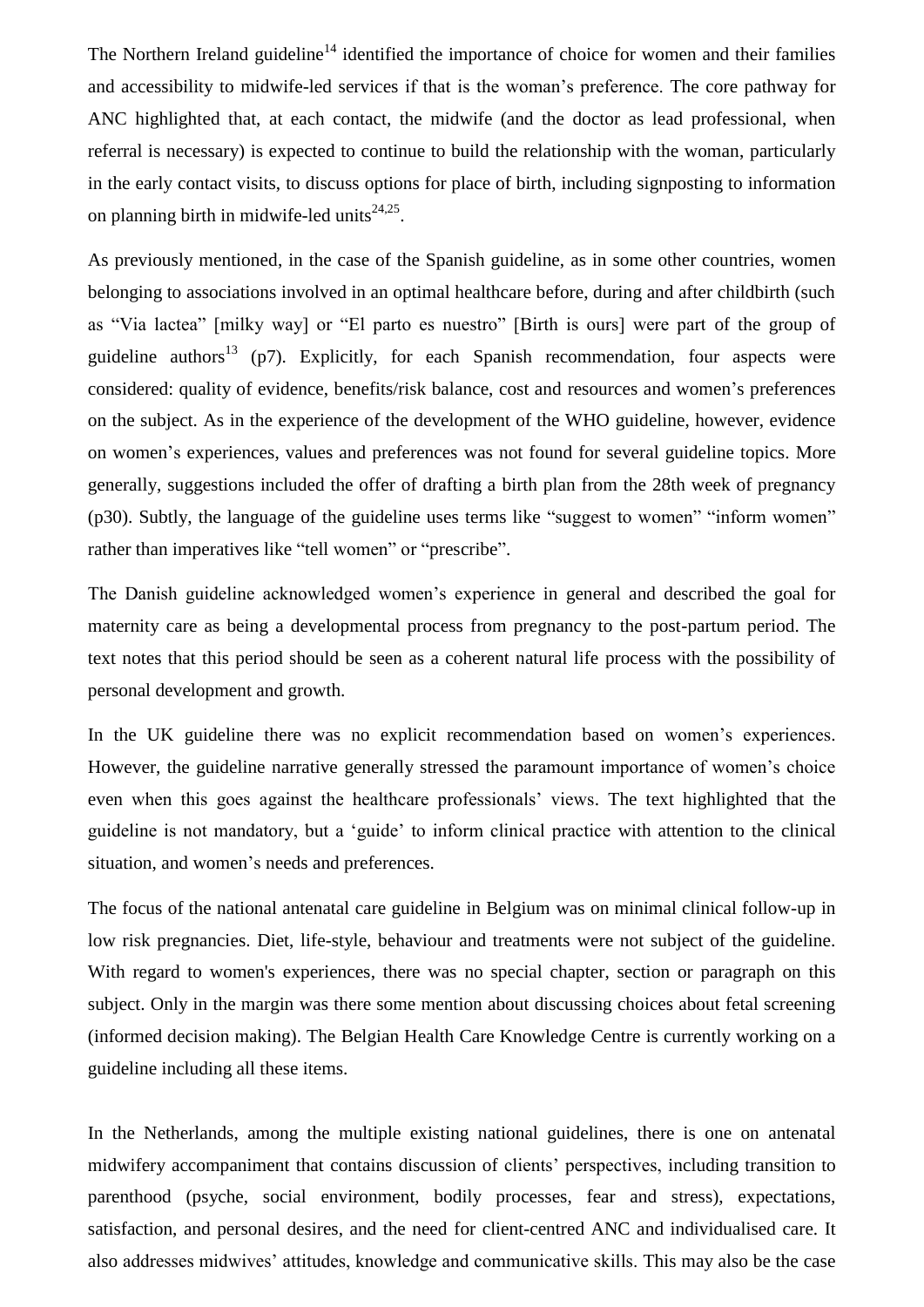The Northern Ireland guideline<sup>14</sup> identified the importance of choice for women and their families and accessibility to midwife-led services if that is the woman's preference. The core pathway for ANC highlighted that, at each contact, the midwife (and the doctor as lead professional, when referral is necessary) is expected to continue to build the relationship with the woman, particularly in the early contact visits, to discuss options for place of birth, including signposting to information on planning birth in midwife-led units $^{24,25}$ .

As previously mentioned, in the case of the Spanish guideline, as in some other countries, women belonging to associations involved in an optimal healthcare before, during and after childbirth (such as "Via lactea" [milky way] or "El parto es nuestro" [Birth is ours] were part of the group of guideline authors<sup>13</sup> (p7). Explicitly, for each Spanish recommendation, four aspects were considered: quality of evidence, benefits/risk balance, cost and resources and women's preferences on the subject. As in the experience of the development of the WHO guideline, however, evidence on women's experiences, values and preferences was not found for several guideline topics. More generally, suggestions included the offer of drafting a birth plan from the 28th week of pregnancy (p30). Subtly, the language of the guideline uses terms like "suggest to women" "inform women" rather than imperatives like "tell women" or "prescribe".

The Danish guideline acknowledged women's experience in general and described the goal for maternity care as being a developmental process from pregnancy to the post-partum period. The text notes that this period should be seen as a coherent natural life process with the possibility of personal development and growth.

In the UK guideline there was no explicit recommendation based on women's experiences. However, the guideline narrative generally stressed the paramount importance of women's choice even when this goes against the healthcare professionals' views. The text highlighted that the guideline is not mandatory, but a 'guide' to inform clinical practice with attention to the clinical situation, and women's needs and preferences.

The focus of the national antenatal care guideline in Belgium was on minimal clinical follow-up in low risk pregnancies. Diet, life-style, behaviour and treatments were not subject of the guideline. With regard to women's experiences, there was no special chapter, section or paragraph on this subject. Only in the margin was there some mention about discussing choices about fetal screening (informed decision making). The Belgian Health Care Knowledge Centre is currently working on a guideline including all these items.

In the Netherlands, among the multiple existing national guidelines, there is one on antenatal midwifery accompaniment that contains discussion of clients' perspectives, including transition to parenthood (psyche, social environment, bodily processes, fear and stress), expectations, satisfaction, and personal desires, and the need for client-centred ANC and individualised care. It also addresses midwives' attitudes, knowledge and communicative skills. This may also be the case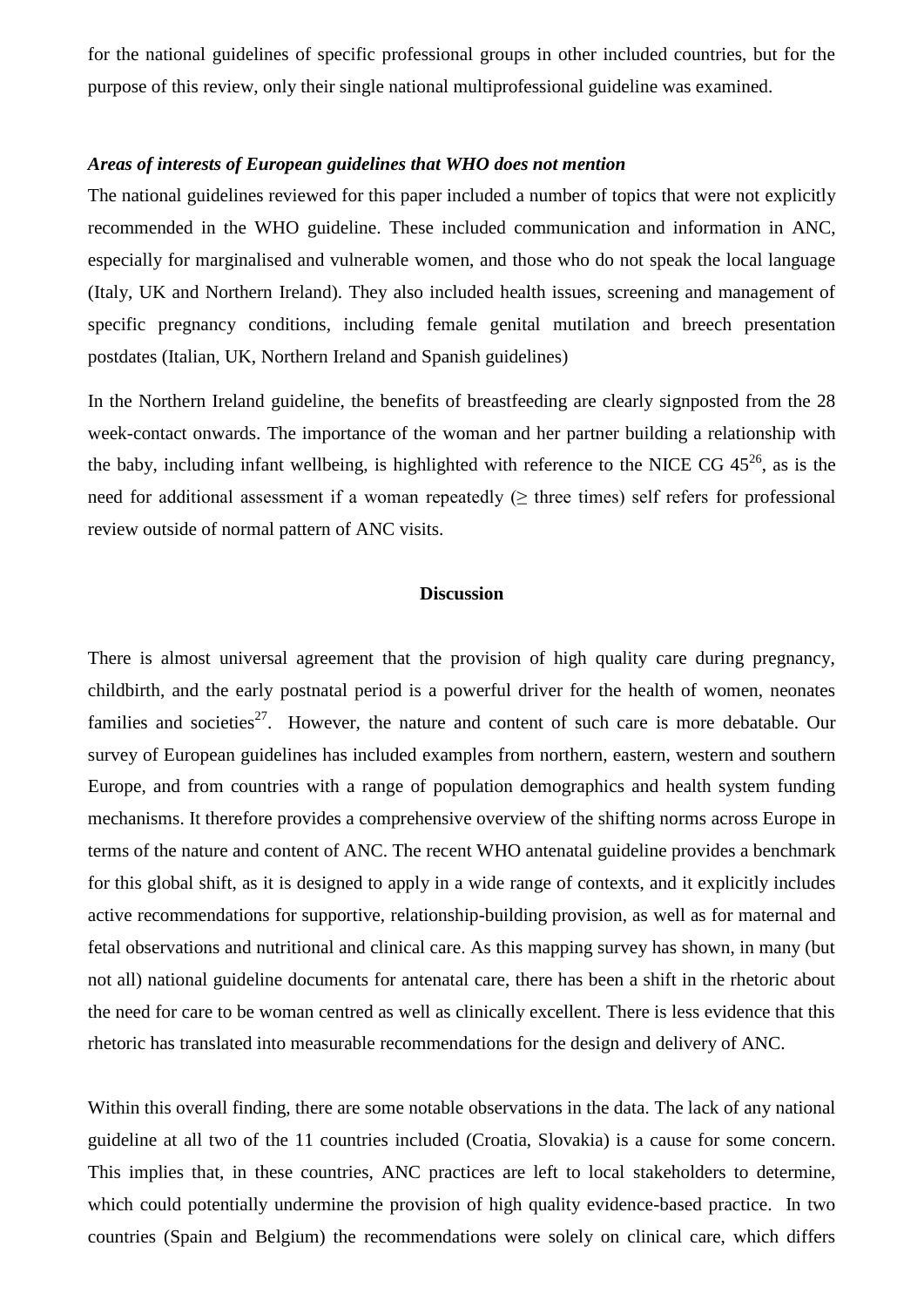for the national guidelines of specific professional groups in other included countries, but for the purpose of this review, only their single national multiprofessional guideline was examined.

## *Areas of interests of European guidelines that WHO does not mention*

The national guidelines reviewed for this paper included a number of topics that were not explicitly recommended in the WHO guideline. These included communication and information in ANC, especially for marginalised and vulnerable women, and those who do not speak the local language (Italy, UK and Northern Ireland). They also included health issues, screening and management of specific pregnancy conditions, including female genital mutilation and breech presentation postdates (Italian, UK, Northern Ireland and Spanish guidelines)

In the Northern Ireland guideline, the benefits of breastfeeding are clearly signposted from the 28 week-contact onwards. The importance of the woman and her partner building a relationship with the baby, including infant wellbeing, is highlighted with reference to the NICE CG  $45^{26}$ , as is the need for additional assessment if a woman repeatedly  $( \geq$  three times) self refers for professional review outside of normal pattern of ANC visits.

## **Discussion**

There is almost universal agreement that the provision of high quality care during pregnancy, childbirth, and the early postnatal period is a powerful driver for the health of women, neonates families and societies<sup>27</sup>. However, the nature and content of such care is more debatable. Our survey of European guidelines has included examples from northern, eastern, western and southern Europe, and from countries with a range of population demographics and health system funding mechanisms. It therefore provides a comprehensive overview of the shifting norms across Europe in terms of the nature and content of ANC. The recent WHO antenatal guideline provides a benchmark for this global shift, as it is designed to apply in a wide range of contexts, and it explicitly includes active recommendations for supportive, relationship-building provision, as well as for maternal and fetal observations and nutritional and clinical care. As this mapping survey has shown, in many (but not all) national guideline documents for antenatal care, there has been a shift in the rhetoric about the need for care to be woman centred as well as clinically excellent. There is less evidence that this rhetoric has translated into measurable recommendations for the design and delivery of ANC.

Within this overall finding, there are some notable observations in the data. The lack of any national guideline at all two of the 11 countries included (Croatia, Slovakia) is a cause for some concern. This implies that, in these countries, ANC practices are left to local stakeholders to determine, which could potentially undermine the provision of high quality evidence-based practice. In two countries (Spain and Belgium) the recommendations were solely on clinical care, which differs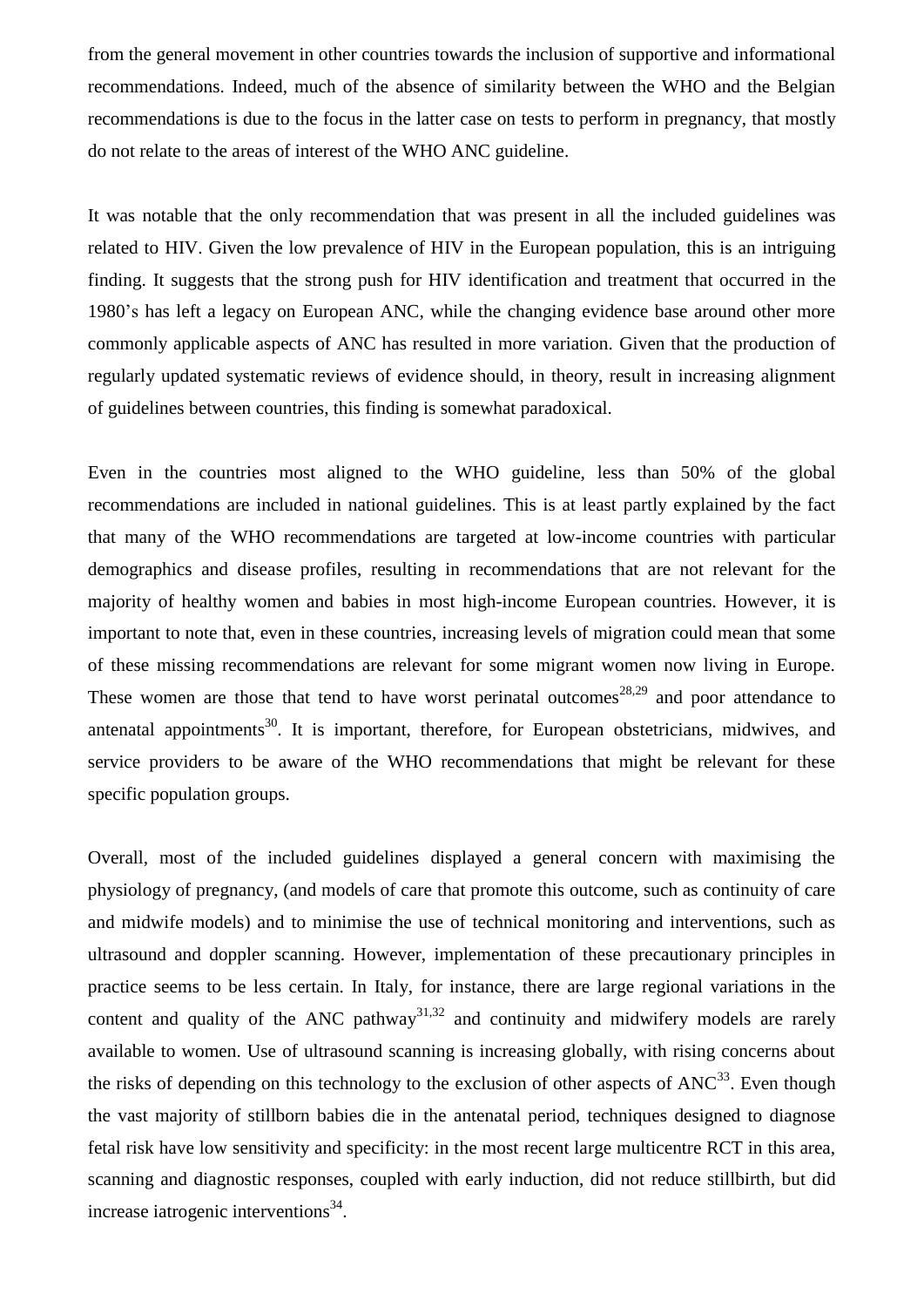from the general movement in other countries towards the inclusion of supportive and informational recommendations. Indeed, much of the absence of similarity between the WHO and the Belgian recommendations is due to the focus in the latter case on tests to perform in pregnancy, that mostly do not relate to the areas of interest of the WHO ANC guideline.

It was notable that the only recommendation that was present in all the included guidelines was related to HIV. Given the low prevalence of HIV in the European population, this is an intriguing finding. It suggests that the strong push for HIV identification and treatment that occurred in the 1980's has left a legacy on European ANC, while the changing evidence base around other more commonly applicable aspects of ANC has resulted in more variation. Given that the production of regularly updated systematic reviews of evidence should, in theory, result in increasing alignment of guidelines between countries, this finding is somewhat paradoxical.

Even in the countries most aligned to the WHO guideline, less than 50% of the global recommendations are included in national guidelines. This is at least partly explained by the fact that many of the WHO recommendations are targeted at low-income countries with particular demographics and disease profiles, resulting in recommendations that are not relevant for the majority of healthy women and babies in most high-income European countries. However, it is important to note that, even in these countries, increasing levels of migration could mean that some of these missing recommendations are relevant for some migrant women now living in Europe. These women are those that tend to have worst perinatal outcomes<sup>28,29</sup> and poor attendance to antenatal appointments<sup>30</sup>. It is important, therefore, for European obstetricians, midwives, and service providers to be aware of the WHO recommendations that might be relevant for these specific population groups.

Overall, most of the included guidelines displayed a general concern with maximising the physiology of pregnancy, (and models of care that promote this outcome, such as continuity of care and midwife models) and to minimise the use of technical monitoring and interventions, such as ultrasound and doppler scanning. However, implementation of these precautionary principles in practice seems to be less certain. In Italy, for instance, there are large regional variations in the content and quality of the ANC pathway<sup>31,32</sup> and continuity and midwifery models are rarely available to women. Use of ultrasound scanning is increasing globally, with rising concerns about the risks of depending on this technology to the exclusion of other aspects of  $ANC^{33}$ . Even though the vast majority of stillborn babies die in the antenatal period, techniques designed to diagnose fetal risk have low sensitivity and specificity: in the most recent large multicentre RCT in this area, scanning and diagnostic responses, coupled with early induction, did not reduce stillbirth, but did increase iatrogenic interventions $34$ .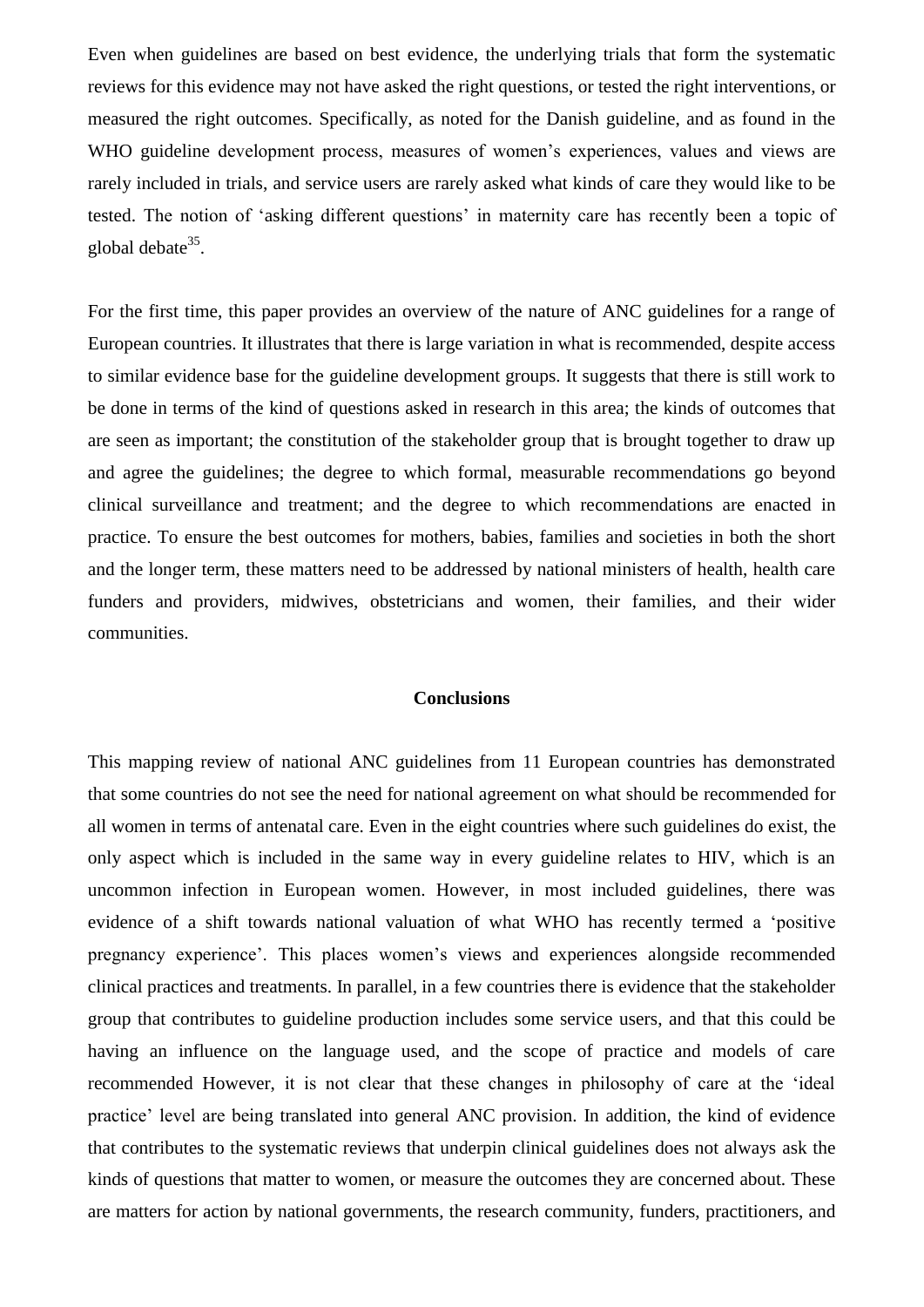Even when guidelines are based on best evidence, the underlying trials that form the systematic reviews for this evidence may not have asked the right questions, or tested the right interventions, or measured the right outcomes. Specifically, as noted for the Danish guideline, and as found in the WHO guideline development process, measures of women's experiences, values and views are rarely included in trials, and service users are rarely asked what kinds of care they would like to be tested. The notion of 'asking different questions' in maternity care has recently been a topic of global debate<sup>35</sup>.

For the first time, this paper provides an overview of the nature of ANC guidelines for a range of European countries. It illustrates that there is large variation in what is recommended, despite access to similar evidence base for the guideline development groups. It suggests that there is still work to be done in terms of the kind of questions asked in research in this area; the kinds of outcomes that are seen as important; the constitution of the stakeholder group that is brought together to draw up and agree the guidelines; the degree to which formal, measurable recommendations go beyond clinical surveillance and treatment; and the degree to which recommendations are enacted in practice. To ensure the best outcomes for mothers, babies, families and societies in both the short and the longer term, these matters need to be addressed by national ministers of health, health care funders and providers, midwives, obstetricians and women, their families, and their wider communities.

## **Conclusions**

This mapping review of national ANC guidelines from 11 European countries has demonstrated that some countries do not see the need for national agreement on what should be recommended for all women in terms of antenatal care. Even in the eight countries where such guidelines do exist, the only aspect which is included in the same way in every guideline relates to HIV, which is an uncommon infection in European women. However, in most included guidelines, there was evidence of a shift towards national valuation of what WHO has recently termed a 'positive pregnancy experience'. This places women's views and experiences alongside recommended clinical practices and treatments. In parallel, in a few countries there is evidence that the stakeholder group that contributes to guideline production includes some service users, and that this could be having an influence on the language used, and the scope of practice and models of care recommended However, it is not clear that these changes in philosophy of care at the 'ideal practice' level are being translated into general ANC provision. In addition, the kind of evidence that contributes to the systematic reviews that underpin clinical guidelines does not always ask the kinds of questions that matter to women, or measure the outcomes they are concerned about. These are matters for action by national governments, the research community, funders, practitioners, and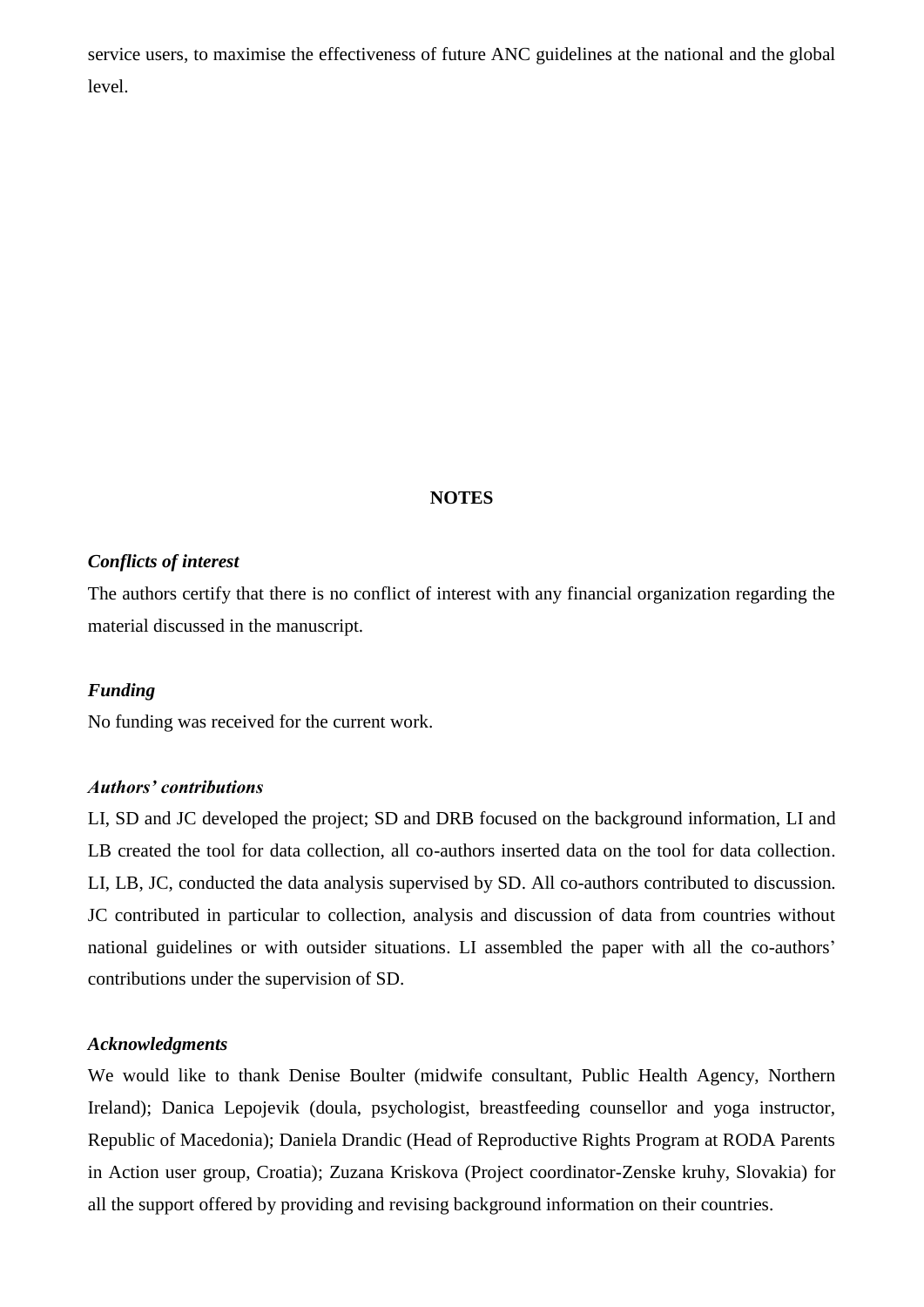service users, to maximise the effectiveness of future ANC guidelines at the national and the global level.

#### **NOTES**

#### *Conflicts of interest*

The authors certify that there is no conflict of interest with any financial organization regarding the material discussed in the manuscript.

#### *Funding*

No funding was received for the current work.

#### *Authors' contributions*

LI, SD and JC developed the project; SD and DRB focused on the background information, LI and LB created the tool for data collection, all co-authors inserted data on the tool for data collection. LI, LB, JC, conducted the data analysis supervised by SD. All co-authors contributed to discussion. JC contributed in particular to collection, analysis and discussion of data from countries without national guidelines or with outsider situations. LI assembled the paper with all the co-authors' contributions under the supervision of SD.

#### *Acknowledgments*

We would like to thank Denise Boulter (midwife consultant, Public Health Agency, Northern Ireland); Danica Lepojevik (doula, psychologist, breastfeeding counsellor and yoga instructor, Republic of Macedonia); Daniela Drandic (Head of Reproductive Rights Program at RODA Parents in Action user group, Croatia); Zuzana Kriskova (Project coordinator-Zenske kruhy, Slovakia) for all the support offered by providing and revising background information on their countries.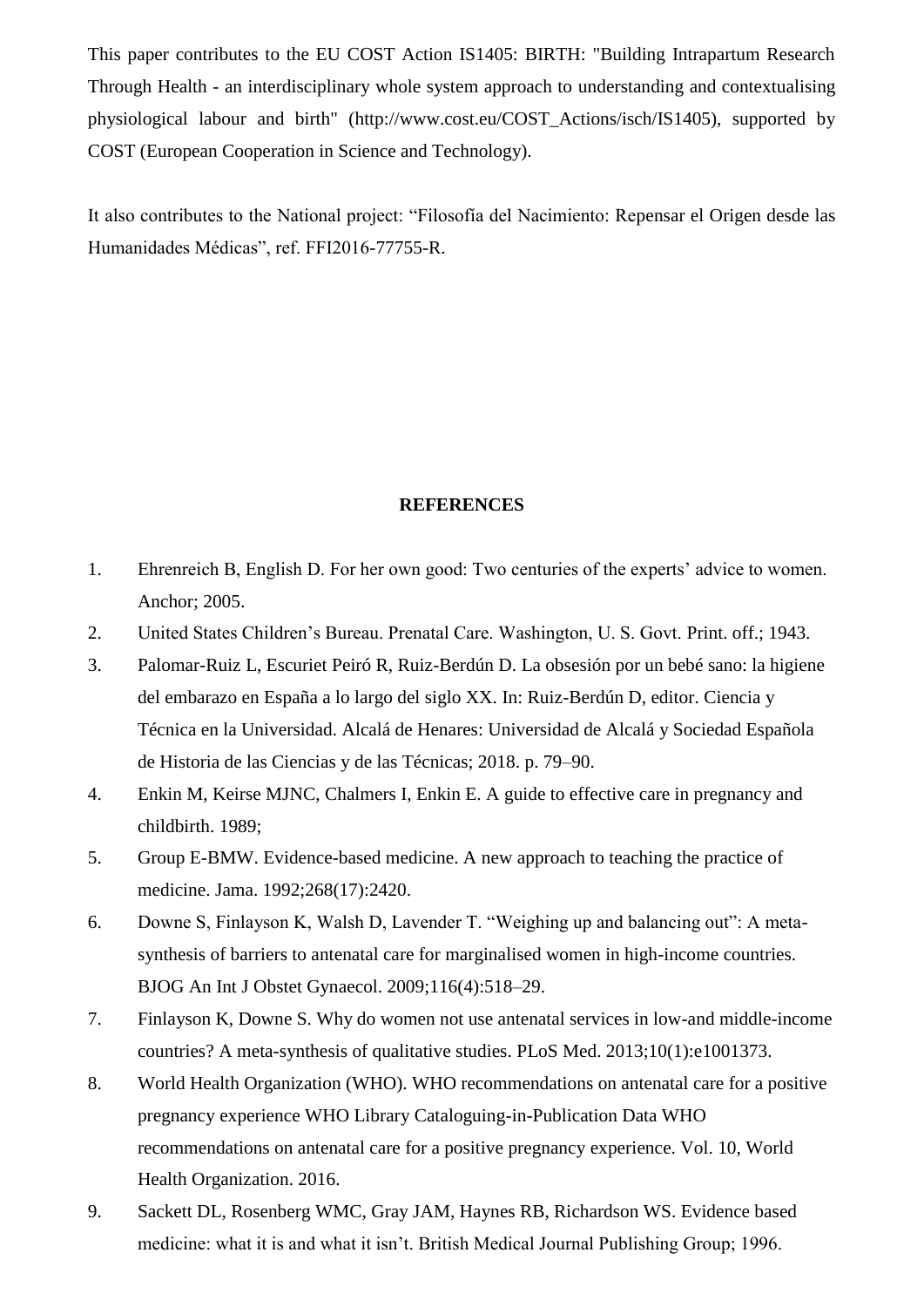This paper contributes to the EU COST Action IS1405: BIRTH: "Building Intrapartum Research Through Health - an interdisciplinary whole system approach to understanding and contextualising physiological labour and birth" (http://www.cost.eu/COST\_Actions/isch/IS1405), supported by COST (European Cooperation in Science and Technology).

It also contributes to the National project: "Filosofía del Nacimiento: Repensar el Origen desde las Humanidades Médicas", ref. FFI2016-77755-R.

## **REFERENCES**

- 1. Ehrenreich B, English D. For her own good: Two centuries of the experts' advice to women. Anchor; 2005.
- 2. United States Children's Bureau. Prenatal Care. Washington, U. S. Govt. Print. off.; 1943.
- 3. Palomar-Ruiz L, Escuriet Peiró R, Ruiz-Berdún D. La obsesión por un bebé sano: la higiene del embarazo en España a lo largo del siglo XX. In: Ruiz-Berdún D, editor. Ciencia y Técnica en la Universidad. Alcalá de Henares: Universidad de Alcalá y Sociedad Española de Historia de las Ciencias y de las Técnicas; 2018. p. 79–90.
- 4. Enkin M, Keirse MJNC, Chalmers I, Enkin E. A guide to effective care in pregnancy and childbirth. 1989;
- 5. Group E-BMW. Evidence-based medicine. A new approach to teaching the practice of medicine. Jama. 1992;268(17):2420.
- 6. Downe S, Finlayson K, Walsh D, Lavender T. "Weighing up and balancing out": A metasynthesis of barriers to antenatal care for marginalised women in high-income countries. BJOG An Int J Obstet Gynaecol. 2009;116(4):518–29.
- 7. Finlayson K, Downe S. Why do women not use antenatal services in low-and middle-income countries? A meta-synthesis of qualitative studies. PLoS Med. 2013;10(1):e1001373.
- 8. World Health Organization (WHO). WHO recommendations on antenatal care for a positive pregnancy experience WHO Library Cataloguing-in-Publication Data WHO recommendations on antenatal care for a positive pregnancy experience. Vol. 10, World Health Organization. 2016.
- 9. Sackett DL, Rosenberg WMC, Gray JAM, Haynes RB, Richardson WS. Evidence based medicine: what it is and what it isn't. British Medical Journal Publishing Group; 1996.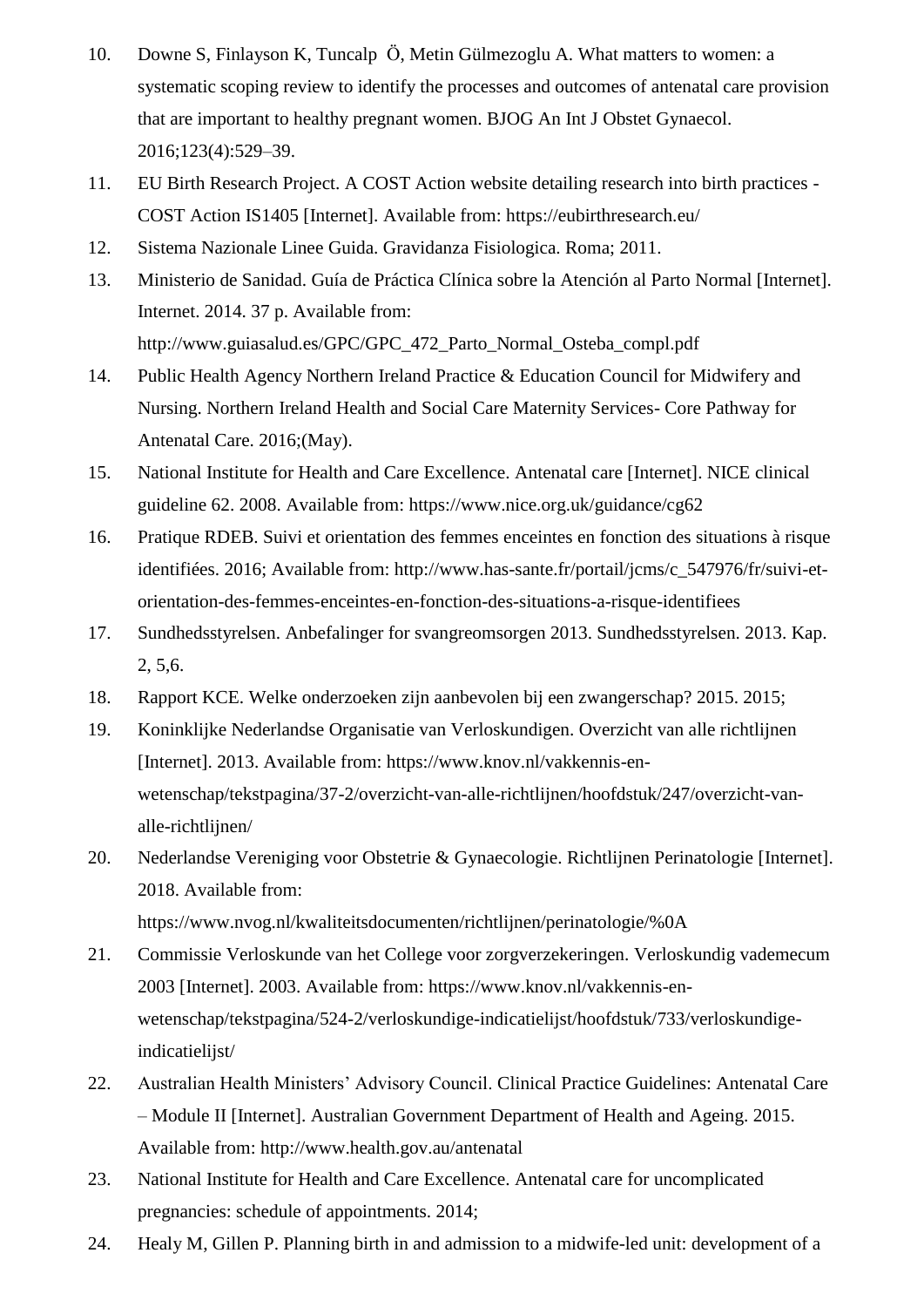- 10. Downe S, Finlayson K, Tuncalp Ӧ, Metin Gülmezoglu A. What matters to women: a systematic scoping review to identify the processes and outcomes of antenatal care provision that are important to healthy pregnant women. BJOG An Int J Obstet Gynaecol. 2016;123(4):529–39.
- 11. EU Birth Research Project. A COST Action website detailing research into birth practices COST Action IS1405 [Internet]. Available from: https://eubirthresearch.eu/
- 12. Sistema Nazionale Linee Guida. Gravidanza Fisiologica. Roma; 2011.
- 13. Ministerio de Sanidad. Guía de Práctica Clínica sobre la Atención al Parto Normal [Internet]. Internet. 2014. 37 p. Available from: http://www.guiasalud.es/GPC/GPC\_472\_Parto\_Normal\_Osteba\_compl.pdf
- 14. Public Health Agency Northern Ireland Practice & Education Council for Midwifery and Nursing. Northern Ireland Health and Social Care Maternity Services- Core Pathway for Antenatal Care. 2016;(May).
- 15. National Institute for Health and Care Excellence. Antenatal care [Internet]. NICE clinical guideline 62. 2008. Available from: https://www.nice.org.uk/guidance/cg62
- 16. Pratique RDEB. Suivi et orientation des femmes enceintes en fonction des situations à risque identifiées. 2016; Available from: http://www.has-sante.fr/portail/jcms/c\_547976/fr/suivi-etorientation-des-femmes-enceintes-en-fonction-des-situations-a-risque-identifiees
- 17. Sundhedsstyrelsen. Anbefalinger for svangreomsorgen 2013. Sundhedsstyrelsen. 2013. Kap. 2, 5,6.
- 18. Rapport KCE. Welke onderzoeken zijn aanbevolen bij een zwangerschap? 2015. 2015;
- 19. Koninklijke Nederlandse Organisatie van Verloskundigen. Overzicht van alle richtlijnen [Internet]. 2013. Available from: https://www.knov.nl/vakkennis-enwetenschap/tekstpagina/37-2/overzicht-van-alle-richtlijnen/hoofdstuk/247/overzicht-vanalle-richtlijnen/
- 20. Nederlandse Vereniging voor Obstetrie & Gynaecologie. Richtlijnen Perinatologie [Internet]. 2018. Available from:

https://www.nvog.nl/kwaliteitsdocumenten/richtlijnen/perinatologie/%0A

- 21. Commissie Verloskunde van het College voor zorgverzekeringen. Verloskundig vademecum 2003 [Internet]. 2003. Available from: https://www.knov.nl/vakkennis-enwetenschap/tekstpagina/524-2/verloskundige-indicatielijst/hoofdstuk/733/verloskundigeindicatielijst/
- 22. Australian Health Ministers' Advisory Council. Clinical Practice Guidelines: Antenatal Care – Module II [Internet]. Australian Government Department of Health and Ageing. 2015. Available from: http://www.health.gov.au/antenatal
- 23. National Institute for Health and Care Excellence. Antenatal care for uncomplicated pregnancies: schedule of appointments. 2014;
- 24. Healy M, Gillen P. Planning birth in and admission to a midwife-led unit: development of a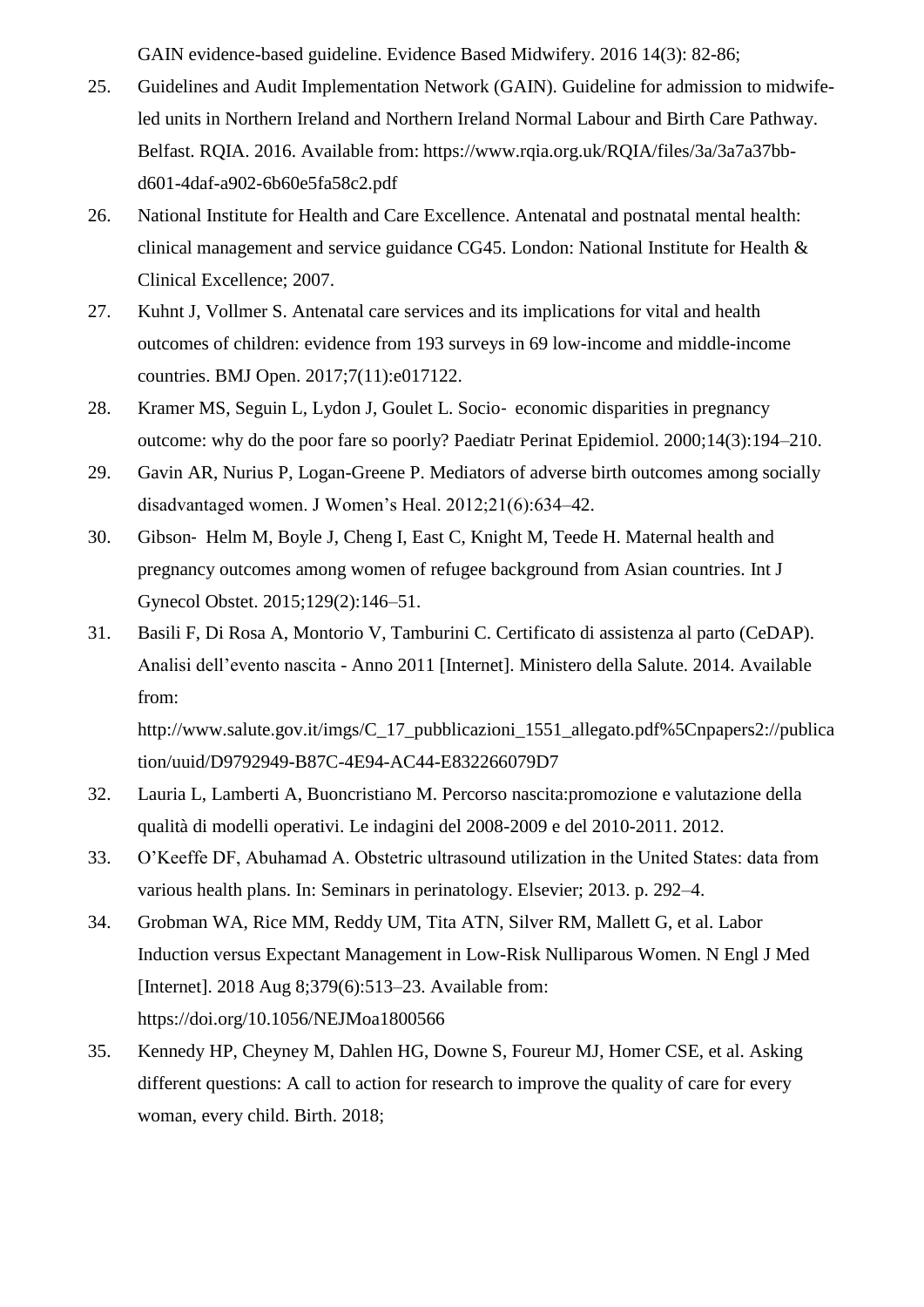GAIN evidence-based guideline. Evidence Based Midwifery. 2016 14(3): 82-86;

- 25. Guidelines and Audit Implementation Network (GAIN). Guideline for admission to midwifeled units in Northern Ireland and Northern Ireland Normal Labour and Birth Care Pathway. Belfast. RQIA. 2016. Available from: https://www.rqia.org.uk/RQIA/files/3a/3a7a37bbd601-4daf-a902-6b60e5fa58c2.pdf
- 26. National Institute for Health and Care Excellence. Antenatal and postnatal mental health: clinical management and service guidance CG45. London: National Institute for Health & Clinical Excellence; 2007.
- 27. Kuhnt J, Vollmer S. Antenatal care services and its implications for vital and health outcomes of children: evidence from 193 surveys in 69 low-income and middle-income countries. BMJ Open. 2017;7(11):e017122.
- 28. Kramer MS, Seguin L, Lydon J, Goulet L. Socio‐ economic disparities in pregnancy outcome: why do the poor fare so poorly? Paediatr Perinat Epidemiol. 2000;14(3):194–210.
- 29. Gavin AR, Nurius P, Logan-Greene P. Mediators of adverse birth outcomes among socially disadvantaged women. J Women's Heal. 2012;21(6):634–42.
- 30. Gibson‐ Helm M, Boyle J, Cheng I, East C, Knight M, Teede H. Maternal health and pregnancy outcomes among women of refugee background from Asian countries. Int J Gynecol Obstet. 2015;129(2):146–51.
- 31. Basili F, Di Rosa A, Montorio V, Tamburini C. Certificato di assistenza al parto (CeDAP). Analisi dell'evento nascita - Anno 2011 [Internet]. Ministero della Salute. 2014. Available from:

http://www.salute.gov.it/imgs/C\_17\_pubblicazioni\_1551\_allegato.pdf%5Cnpapers2://publica tion/uuid/D9792949-B87C-4E94-AC44-E832266079D7

- 32. Lauria L, Lamberti A, Buoncristiano M. Percorso nascita:promozione e valutazione della qualità di modelli operativi. Le indagini del 2008-2009 e del 2010-2011. 2012.
- 33. O'Keeffe DF, Abuhamad A. Obstetric ultrasound utilization in the United States: data from various health plans. In: Seminars in perinatology. Elsevier; 2013. p. 292–4.
- 34. Grobman WA, Rice MM, Reddy UM, Tita ATN, Silver RM, Mallett G, et al. Labor Induction versus Expectant Management in Low-Risk Nulliparous Women. N Engl J Med [Internet]. 2018 Aug 8;379(6):513–23. Available from: https://doi.org/10.1056/NEJMoa1800566
- 35. Kennedy HP, Cheyney M, Dahlen HG, Downe S, Foureur MJ, Homer CSE, et al. Asking different questions: A call to action for research to improve the quality of care for every woman, every child. Birth. 2018;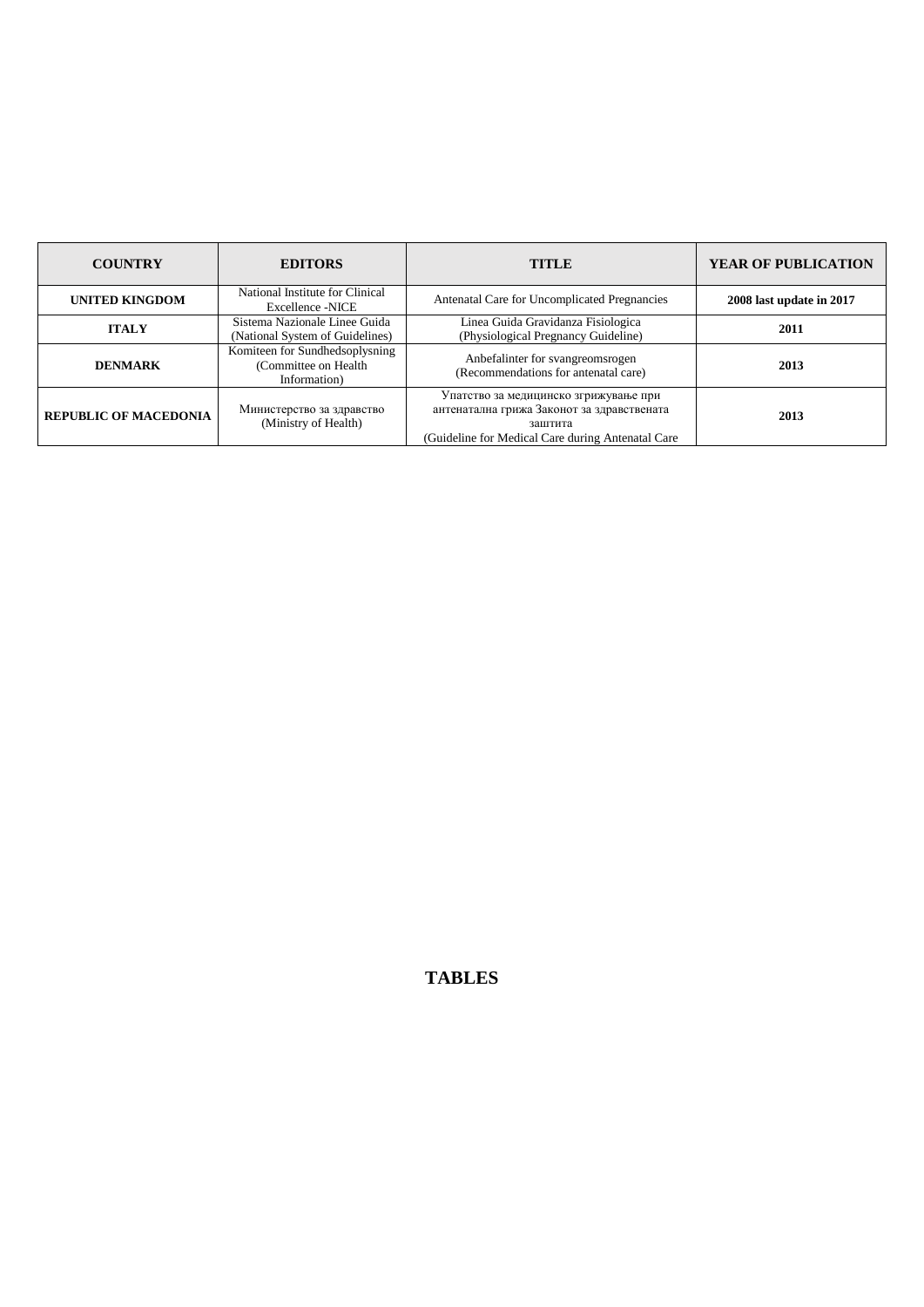| <b>COUNTRY</b>               | <b>EDITORS</b>                                                          | <b>TITLE</b>                                                                                                                                        | <b>YEAR OF PUBLICATION</b> |
|------------------------------|-------------------------------------------------------------------------|-----------------------------------------------------------------------------------------------------------------------------------------------------|----------------------------|
| <b>UNITED KINGDOM</b>        | National Institute for Clinical<br><b>Excellence -NICE</b>              | Antenatal Care for Uncomplicated Pregnancies                                                                                                        | 2008 last update in 2017   |
| <b>ITALY</b>                 | Sistema Nazionale Linee Guida<br>(National System of Guidelines)        | Linea Guida Gravidanza Fisiologica<br>(Physiological Pregnancy Guideline)                                                                           | 2011                       |
| <b>DENMARK</b>               | Komiteen for Sundhedsoplysning<br>(Committee on Health)<br>Information) | Anbefalinter for svangreomsrogen<br>(Recommendations for antenatal care)                                                                            | 2013                       |
| <b>REPUBLIC OF MACEDONIA</b> | Министерство за здравство<br>(Ministry of Health)                       | Упатство за медицинско згрижување при<br>антенатална грижа Законот за здравствената<br>заштита<br>(Guideline for Medical Care during Antenatal Care | 2013                       |

## **TABLES**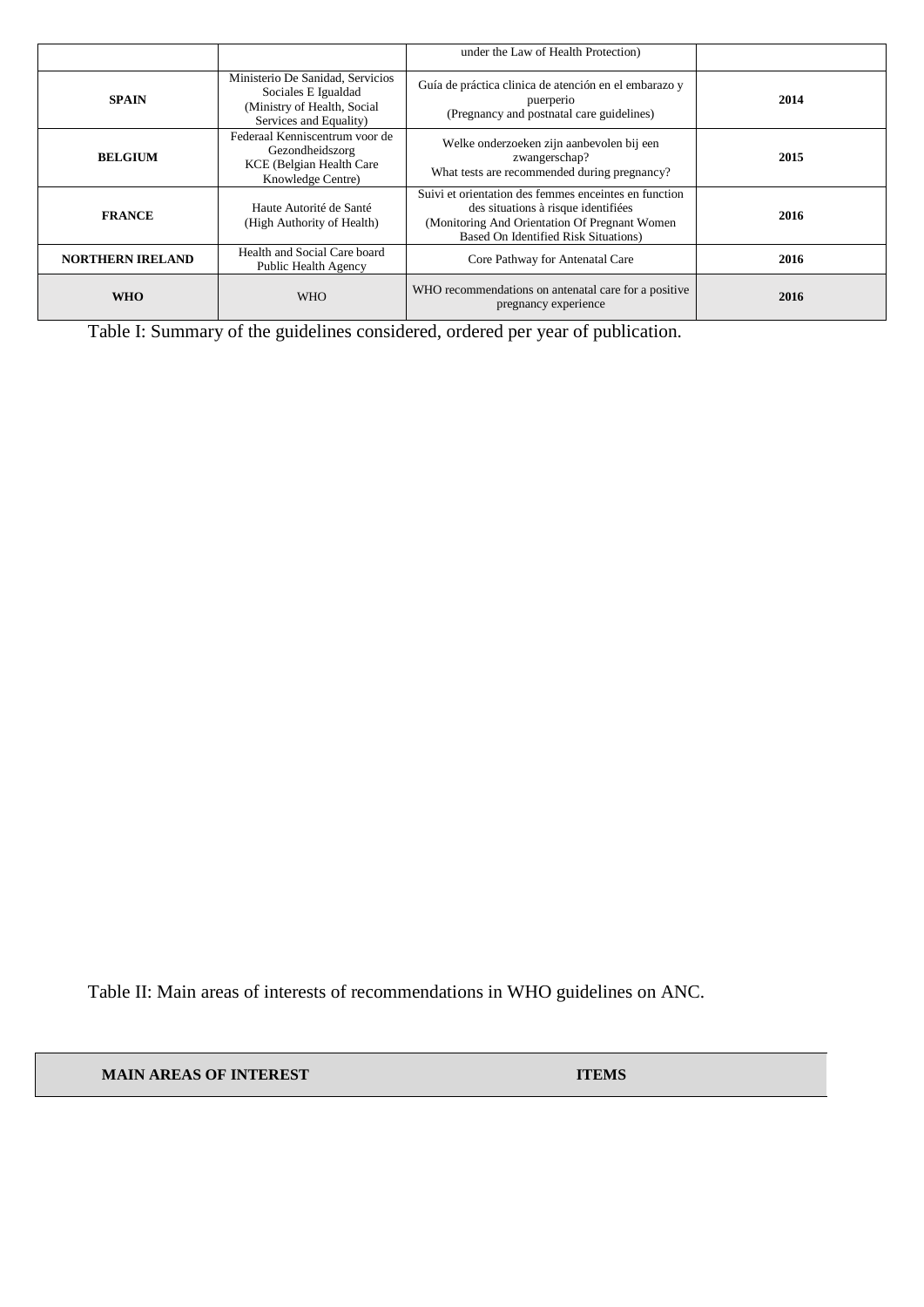| <b>SPAIN</b>             | Ministerio De Sanidad, Servicios<br>Sociales E Igualdad<br>(Ministry of Health, Social<br>Services and Equality) | Guía de práctica clinica de atención en el embarazo y<br>puerperio<br>(Pregnancy and postnatal care guidelines)                                                                        | 2014 |
|--------------------------|------------------------------------------------------------------------------------------------------------------|----------------------------------------------------------------------------------------------------------------------------------------------------------------------------------------|------|
| <b>BELGIUM</b>           | Federaal Kenniscentrum voor de<br>Gezondheidszorg<br>KCE (Belgian Health Care<br>Knowledge Centre)               | Welke onderzoeken zijn aanbevolen bij een<br>zwangerschap?<br>What tests are recommended during pregnancy?                                                                             | 2015 |
| <b>FRANCE</b>            | Haute Autorité de Santé<br>(High Authority of Health)                                                            | Suivi et orientation des femmes enceintes en function<br>des situations à risque identifiées<br>(Monitoring And Orientation Of Pregnant Women)<br>Based On Identified Risk Situations) | 2016 |
| <b>NORTHERN IRELAND</b>  | Health and Social Care board<br>Public Health Agency                                                             | Core Pathway for Antenatal Care                                                                                                                                                        | 2016 |
| <b>WHO</b><br><b>WHO</b> |                                                                                                                  | WHO recommendations on antenatal care for a positive<br>pregnancy experience                                                                                                           | 2016 |

Table I: Summary of the guidelines considered, ordered per year of publication.

Table II: Main areas of interests of recommendations in WHO guidelines on ANC.

**MAIN AREAS OF INTEREST ITEMS**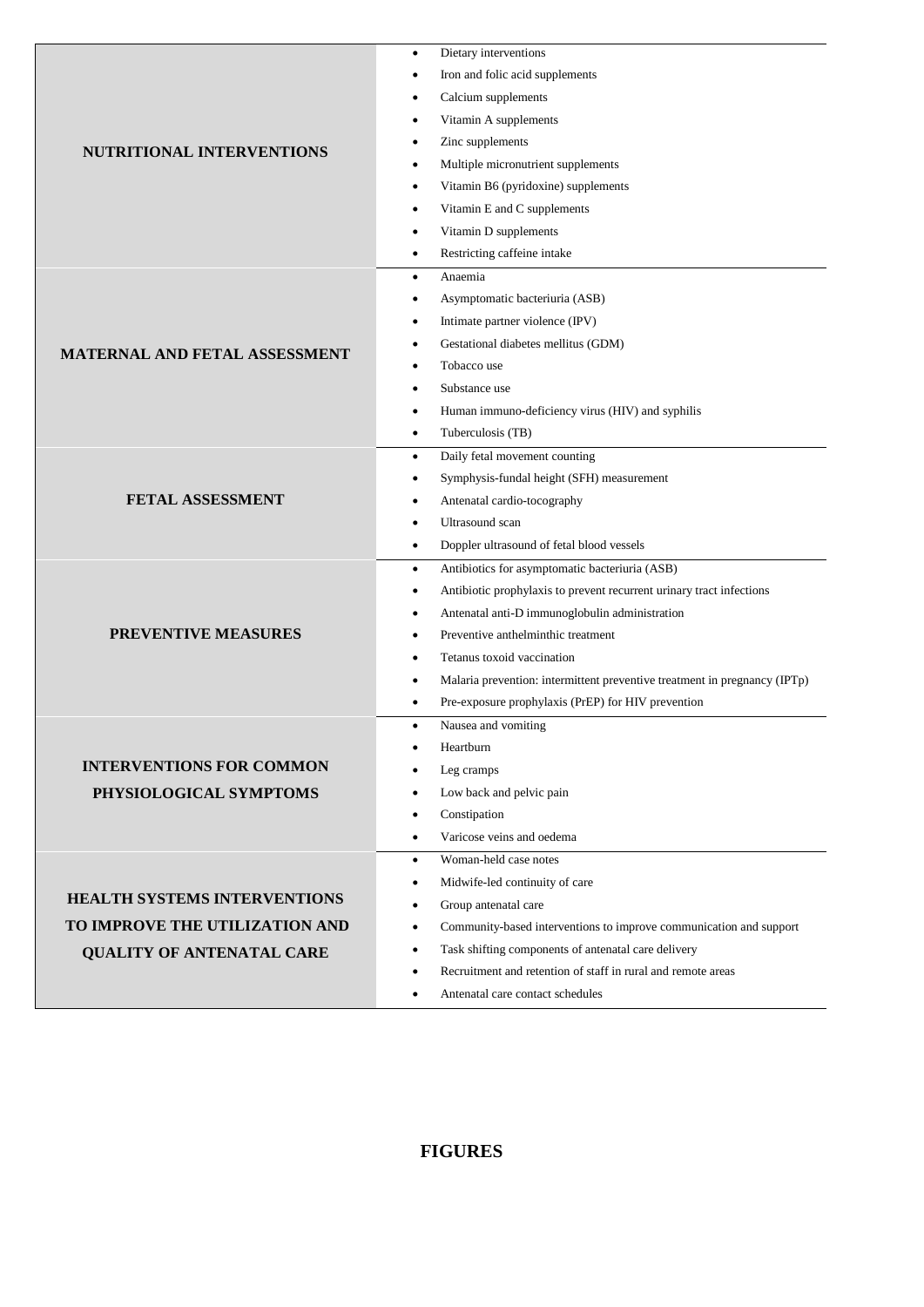|                                      | Dietary interventions<br>٠                                                                                   |  |  |  |  |
|--------------------------------------|--------------------------------------------------------------------------------------------------------------|--|--|--|--|
|                                      | Iron and folic acid supplements<br>٠                                                                         |  |  |  |  |
|                                      | Calcium supplements<br>$\bullet$                                                                             |  |  |  |  |
|                                      | Vitamin A supplements<br>٠                                                                                   |  |  |  |  |
| <b>NUTRITIONAL INTERVENTIONS</b>     | Zinc supplements<br>٠                                                                                        |  |  |  |  |
|                                      | Multiple micronutrient supplements<br>٠                                                                      |  |  |  |  |
|                                      | Vitamin B6 (pyridoxine) supplements<br>٠                                                                     |  |  |  |  |
|                                      | Vitamin E and C supplements<br>٠                                                                             |  |  |  |  |
|                                      | Vitamin D supplements<br>$\bullet$                                                                           |  |  |  |  |
|                                      | Restricting caffeine intake<br>$\bullet$                                                                     |  |  |  |  |
|                                      | Anaemia<br>$\bullet$                                                                                         |  |  |  |  |
|                                      | Asymptomatic bacteriuria (ASB)<br>$\bullet$                                                                  |  |  |  |  |
|                                      | Intimate partner violence (IPV)<br>$\bullet$                                                                 |  |  |  |  |
| <b>MATERNAL AND FETAL ASSESSMENT</b> | Gestational diabetes mellitus (GDM)<br>٠                                                                     |  |  |  |  |
|                                      | Tobacco use<br>٠                                                                                             |  |  |  |  |
|                                      | Substance use<br>$\bullet$                                                                                   |  |  |  |  |
|                                      | Human immuno-deficiency virus (HIV) and syphilis<br>٠                                                        |  |  |  |  |
|                                      | Tuberculosis (TB)<br>٠                                                                                       |  |  |  |  |
|                                      | Daily fetal movement counting<br>$\bullet$                                                                   |  |  |  |  |
|                                      | Symphysis-fundal height (SFH) measurement<br>٠                                                               |  |  |  |  |
| FETAL ASSESSMENT                     | Antenatal cardio-tocography<br>٠                                                                             |  |  |  |  |
|                                      | Ultrasound scan<br>$\bullet$                                                                                 |  |  |  |  |
|                                      | Doppler ultrasound of fetal blood vessels<br>$\bullet$                                                       |  |  |  |  |
|                                      | Antibiotics for asymptomatic bacteriuria (ASB)<br>$\bullet$                                                  |  |  |  |  |
|                                      | Antibiotic prophylaxis to prevent recurrent urinary tract infections<br>٠                                    |  |  |  |  |
|                                      | Antenatal anti-D immunoglobulin administration<br>٠                                                          |  |  |  |  |
| <b>PREVENTIVE MEASURES</b>           | Preventive anthelminthic treatment<br>٠                                                                      |  |  |  |  |
|                                      | Tetanus toxoid vaccination<br>$\bullet$                                                                      |  |  |  |  |
|                                      | Malaria prevention: intermittent preventive treatment in pregnancy (IPTp)<br>٠                               |  |  |  |  |
|                                      | Pre-exposure prophylaxis (PrEP) for HIV prevention<br>٠                                                      |  |  |  |  |
|                                      | Nausea and vomiting<br>$\bullet$                                                                             |  |  |  |  |
| <b>INTERVENTIONS FOR COMMON</b>      | Heartburn                                                                                                    |  |  |  |  |
|                                      | Leg cramps                                                                                                   |  |  |  |  |
| PHYSIOLOGICAL SYMPTOMS               | Low back and pelvic pain<br>٠                                                                                |  |  |  |  |
|                                      | Constipation<br>٠<br>Varicose veins and oedema                                                               |  |  |  |  |
|                                      | $\bullet$<br>Woman-held case notes                                                                           |  |  |  |  |
|                                      | $\bullet$<br>Midwife-led continuity of care                                                                  |  |  |  |  |
| <b>HEALTH SYSTEMS INTERVENTIONS</b>  | ٠                                                                                                            |  |  |  |  |
| TO IMPROVE THE UTILIZATION AND       | Group antenatal care<br>٠<br>Community-based interventions to improve communication and support<br>$\bullet$ |  |  |  |  |
|                                      | Task shifting components of antenatal care delivery<br>$\bullet$                                             |  |  |  |  |
| <b>QUALITY OF ANTENATAL CARE</b>     | Recruitment and retention of staff in rural and remote areas<br>٠                                            |  |  |  |  |
|                                      | Antenatal care contact schedules<br>$\bullet$                                                                |  |  |  |  |
|                                      |                                                                                                              |  |  |  |  |

## **FIGURES**